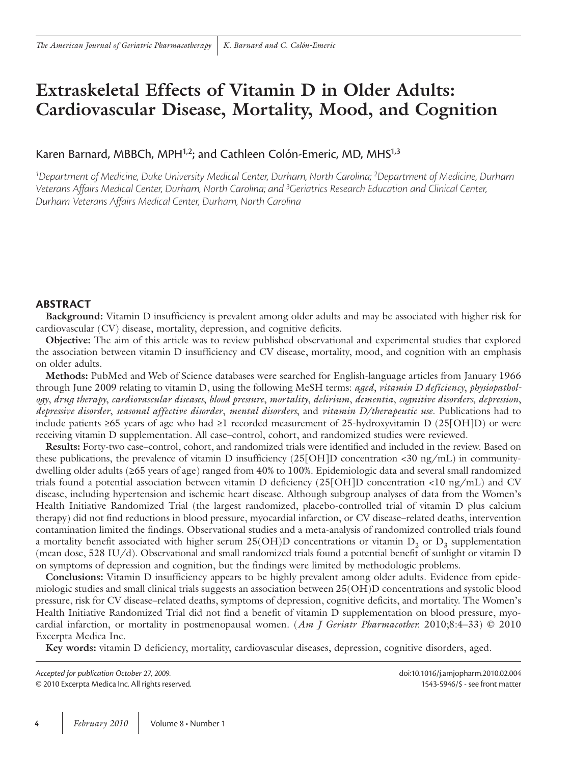# **Extraskeletal Effects of Vitamin D in Older Adults: Cardiovascular Disease, Mortality, Mood, and Cognition**

# Karen Barnard, MBBCh, MPH<sup>1,2</sup>; and Cathleen Colón-Emeric, MD, MHS<sup>1,3</sup>

*1 Department of Medicine, Duke University Medical Center, Durham, North Carolina; 2 Department of Medicine, Durham Veterans Affairs Medical Center, Durham, North Carolina; and 3 Geriatrics Research Education and Clinical Center, Durham Veterans Affairs Medical Center, Durham, North Carolina*

# **AbstrAct**

**Background:** Vitamin D insufficiency is prevalent among older adults and may be associated with higher risk for cardiovascular (CV) disease, mortality, depression, and cognitive deficits.

**Objective:** The aim of this article was to review published observational and experimental studies that explored the association between vitamin D insufficiency and CV disease, mortality, mood, and cognition with an emphasis on older adults.

**Methods:** PubMed and Web of Science databases were searched for English-language articles from January 1966 through June 2009 relating to vitamin D, using the following MeSH terms: *aged*, *vitamin D deficiency*, *physiopathology*, *drug therapy*, *cardiovascular diseases*, *blood pressure*, *mortality*, *delirium*, *dementia*, *cognitive disorders*, *depression*, *depressive disorder*, *seasonal affective disorder*, *mental disorders*, and *vitamin D/therapeutic use*. Publications had to include patients ≥65 years of age who had ≥1 recorded measurement of 25-hydroxyvitamin D (25[OH]D) or were receiving vitamin D supplementation. All case–control, cohort, and randomized studies were reviewed.

**Results:** Forty-two case–control, cohort, and randomized trials were identified and included in the review. Based on these publications, the prevalence of vitamin D insufficiency  $(25\text{[OH]D}$  concentration <30 ng/mL) in communitydwelling older adults (≥65 years of age) ranged from 40% to 100%. Epidemiologic data and several small randomized trials found a potential association between vitamin D deficiency (25[OH]D concentration <10 ng/mL) and CV disease, including hypertension and ischemic heart disease. Although subgroup analyses of data from the Women's Health Initiative Randomized Trial (the largest randomized, placebo-controlled trial of vitamin D plus calcium therapy) did not find reductions in blood pressure, myocardial infarction, or CV disease–related deaths, intervention contamination limited the findings. Observational studies and a meta-analysis of randomized controlled trials found a mortality benefit associated with higher serum  $25(OH)D$  concentrations or vitamin  $D_2$  or  $D_3$  supplementation (mean dose, 528 IU/d). Observational and small randomized trials found a potential benefit of sunlight or vitamin D on symptoms of depression and cognition, but the findings were limited by methodologic problems.

**Conclusions:** Vitamin D insufficiency appears to be highly prevalent among older adults. Evidence from epidemiologic studies and small clinical trials suggests an association between 25(OH)D concentrations and systolic blood pressure, risk for CV disease–related deaths, symptoms of depression, cognitive deficits, and mortality. The Women's Health Initiative Randomized Trial did not find a benefit of vitamin D supplementation on blood pressure, myocardial infarction, or mortality in postmenopausal women. (*Am J Geriatr Pharmacother.* 2010;8:4–33) © 2010 Excerpta Medica Inc.

**Key words:** vitamin D deficiency, mortality, cardiovascular diseases, depression, cognitive disorders, aged.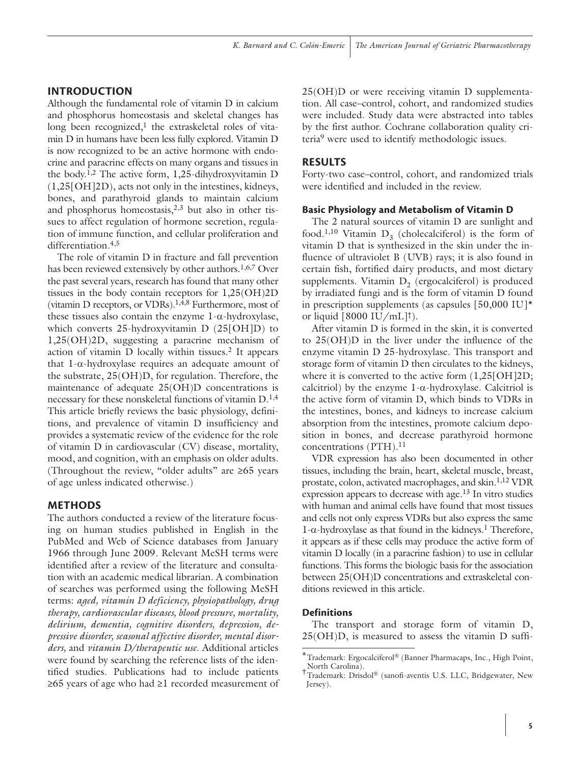# **INTRODUCTION**

Although the fundamental role of vitamin D in calcium and phosphorus homeostasis and skeletal changes has long been recognized, $1$  the extraskeletal roles of vitamin D in humans have been less fully explored. Vitamin D is now recognized to be an active hormone with endocrine and paracrine effects on many organs and tissues in the body.1,2 The active form, 1,25-dihydroxyvitamin D (1,25[OH]2D), acts not only in the intestines, kidneys, bones, and parathyroid glands to maintain calcium and phosphorus homeostasis, $2,3$  but also in other tissues to affect regulation of hormone secretion, regulation of immune function, and cellular proliferation and differentiation.<sup>4,5</sup>

The role of vitamin D in fracture and fall prevention has been reviewed extensively by other authors.<sup>1,6,7</sup> Over the past several years, research has found that many other tissues in the body contain receptors for 1,25(OH)2D (vitamin D receptors, or VDRs).1,4,8 Furthermore, most of these tissues also contain the enzyme  $1-\alpha$ -hydroxylase, which converts 25-hydroxyvitamin D (25[OH]D) to 1,25(OH)2D, suggesting a paracrine mechanism of action of vitamin D locally within tissues.2 It appears that 1-α-hydroxylase requires an adequate amount of the substrate, 25(OH)D, for regulation. Therefore, the maintenance of adequate 25(OH)D concentrations is necessary for these nonskeletal functions of vitamin  $D^{1,4}$ This article briefly reviews the basic physiology, definitions, and prevalence of vitamin D insufficiency and provides a systematic review of the evidence for the role of vitamin D in cardiovascular (CV) disease, mortality, mood, and cognition, with an emphasis on older adults. (Throughout the review, "older adults" are ≥65 years of age unless indicated otherwise.)

#### **METHODS**

The authors conducted a review of the literature focusing on human studies published in English in the PubMed and Web of Science databases from January 1966 through June 2009. Relevant MeSH terms were identified after a review of the literature and consultation with an academic medical librarian. A combination of searches was performed using the following MeSH terms: *aged, vitamin D deficiency, physiopathology, drug therapy, cardiovascular diseases, blood pressure, mortality, delirium, dementia, cognitive disorders, depression, depressive disorder, seasonal affective disorder, mental disorders,* and *vitamin D/therapeutic use*. Additional articles were found by searching the reference lists of the identified studies. Publications had to include patients ≥65 years of age who had ≥1 recorded measurement of 25(OH)D or were receiving vitamin D supplementation. All case–control, cohort, and randomized studies were included. Study data were abstracted into tables by the first author. Cochrane collaboration quality criteria9 were used to identify methodologic issues.

#### **RESULTS**

Forty-two case–control, cohort, and randomized trials were identified and included in the review.

#### **Basic Physiology and Metabolism of Vitamin D**

The 2 natural sources of vitamin D are sunlight and food.<sup>1,10</sup> Vitamin D<sub>2</sub> (cholecalciferol) is the form of vitamin D that is synthesized in the skin under the influence of ultraviolet B (UVB) rays; it is also found in certain fish, fortified dairy products, and most dietary supplements. Vitamin  $D_2$  (ergocalciferol) is produced by irradiated fungi and is the form of vitamin D found in prescription supplements (as capsules [50,000 IU]\* or liquid  $[8000 \text{ IU/mL}]^{\dagger}$ .

After vitamin D is formed in the skin, it is converted to 25(OH)D in the liver under the influence of the enzyme vitamin D 25-hydroxylase. This transport and storage form of vitamin D then circulates to the kidneys, where it is converted to the active form  $(1,25[\text{OH}]2D)$ ; calcitriol) by the enzyme  $1-\alpha$ -hydroxylase. Calcitriol is the active form of vitamin D, which binds to VDRs in the intestines, bones, and kidneys to increase calcium absorption from the intestines, promote calcium deposition in bones, and decrease parathyroid hormone concentrations (PTH).<sup>11</sup>

VDR expression has also been documented in other tissues, including the brain, heart, skeletal muscle, breast, prostate, colon, activated macrophages, and skin.1,12 VDR expression appears to decrease with age.13 In vitro studies with human and animal cells have found that most tissues and cells not only express VDRs but also express the same  $1-\alpha$ -hydroxylase as that found in the kidneys.<sup>1</sup> Therefore, it appears as if these cells may produce the active form of vitamin D locally (in a paracrine fashion) to use in cellular functions. This forms the biologic basis for the association between 25(OH)D concentrations and extraskeletal conditions reviewed in this article.

#### **Definitions**

The transport and storage form of vitamin D, 25(OH)D, is measured to assess the vitamin D suffi-

<sup>∗</sup>Trademark: Ergocalciferol (Banner Pharmacaps, Inc., High Point, †North Carolina). †Trademark: Drisdol® (sanofi-aventis U.S. LLC, Bridgewater, New

Jersey).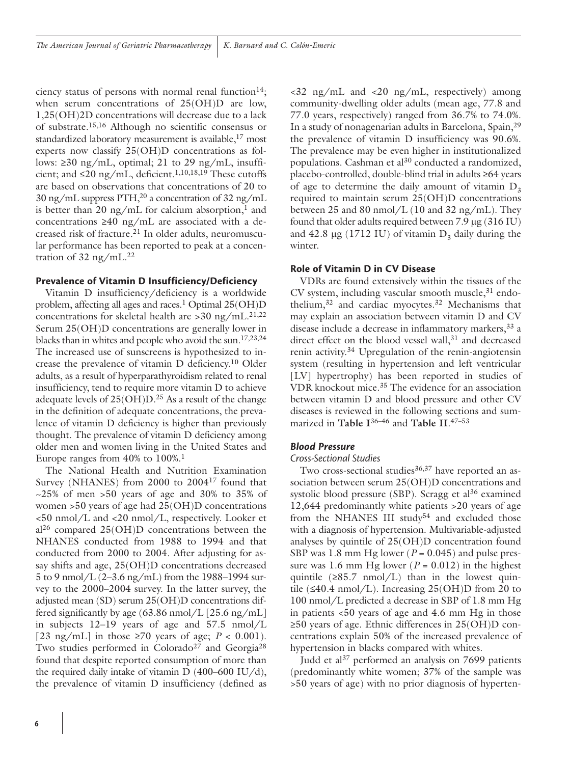ciency status of persons with normal renal function<sup>14</sup>; when serum concentrations of 25(OH)D are low, 1,25(OH)2D concentrations will decrease due to a lack of substrate.15,16 Although no scientific consensus or standardized laboratory measurement is available,<sup>17</sup> most experts now classify 25(OH)D concentrations as follows:  $\geq$ 30 ng/mL, optimal; 21 to 29 ng/mL, insufficient; and  $\leq 20$  ng/mL, deficient.<sup>1,10,18,19</sup> These cutoffs are based on observations that concentrations of 20 to  $30 \text{ ng/mL}$  suppress PTH,<sup>20</sup> a concentration of  $32 \text{ ng/mL}$ is better than 20 ng/mL for calcium absorption,<sup>1</sup> and concentrations ≥40 ng/mL are associated with a decreased risk of fracture.21 In older adults, neuromuscular performance has been reported to peak at a concentration of  $32 \text{ ng/mL}.^{22}$ 

### **Prevalence of Vitamin D Insufficiency/Deficiency**

Vitamin D insufficiency/deficiency is a worldwide problem, affecting all ages and races.<sup>1</sup> Optimal 25(OH)D concentrations for skeletal health are  $>$ 30 ng/mL.<sup>21,22</sup> Serum 25(OH)D concentrations are generally lower in blacks than in whites and people who avoid the sun.17,23,24 The increased use of sunscreens is hypothesized to increase the prevalence of vitamin D deficiency.10 Older adults, as a result of hyperparathyroidism related to renal insufficiency, tend to require more vitamin D to achieve adequate levels of  $25(OH)D^{25}$  As a result of the change in the definition of adequate concentrations, the prevalence of vitamin D deficiency is higher than previously thought. The prevalence of vitamin D deficiency among older men and women living in the United States and Europe ranges from 40% to 100%.<sup>1</sup>

The National Health and Nutrition Examination Survey (NHANES) from 2000 to 200417 found that  $\approx$  25% of men >50 years of age and 30% to 35% of women >50 years of age had 25(OH)D concentrations <50 nmol/L and <20 nmol/L, respectively. Looker et  $a^{26}$  compared  $25(OH)D$  concentrations between the NHANES conducted from 1988 to 1994 and that conducted from 2000 to 2004. After adjusting for assay shifts and age, 25(OH)D concentrations decreased 5 to 9 nmol/L (2–3.6 ng/mL) from the 1988–1994 survey to the 2000–2004 survey. In the latter survey, the adjusted mean (SD) serum 25(OH)D concentrations differed significantly by age (63.86 nmol/L [25.6 ng/mL] in subjects 12–19 years of age and 57.5 nmol/L [23 ng/mL] in those  $\geq$  70 years of age; *P* < 0.001). Two studies performed in Colorado<sup>27</sup> and Georgia<sup>28</sup> found that despite reported consumption of more than the required daily intake of vitamin  $D(400-600 \text{ IU}/d)$ , the prevalence of vitamin D insufficiency (defined as

 $\langle 32 \text{ ng/mL} \rangle$  and  $\langle 20 \text{ ng/mL} \rangle$ , respectively) among community-dwelling older adults (mean age, 77.8 and 77.0 years, respectively) ranged from 36.7% to 74.0%. In a study of nonagenarian adults in Barcelona, Spain,29 the prevalence of vitamin D insufficiency was 90.6%. The prevalence may be even higher in institutionalized populations. Cashman et al<sup>30</sup> conducted a randomized, placebo-controlled, double-blind trial in adults ≥64 years of age to determine the daily amount of vitamin  $D_3$ required to maintain serum 25(OH)D concentrations between 25 and 80 nmol/L (10 and 32 ng/mL). They found that older adults required between 7.9 µg (316 IU) and  $42.8 \mu$ g (1712 IU) of vitamin  $D_3$  daily during the winter.

# **Role of Vitamin D in CV Disease**

VDRs are found extensively within the tissues of the CV system, including vascular smooth muscle,<sup>31</sup> endothelium,32 and cardiac myocytes.32 Mechanisms that may explain an association between vitamin D and CV disease include a decrease in inflammatory markers, 33 a direct effect on the blood vessel wall,<sup>31</sup> and decreased renin activity.34 Upregulation of the renin-angiotensin system (resulting in hypertension and left ventricular [LV] hypertrophy) has been reported in studies of VDR knockout mice.35 The evidence for an association between vitamin D and blood pressure and other CV diseases is reviewed in the following sections and summarized in **Table I**36–46 and **Table II**. 47–53

# *Blood Pressure*

#### *Cross-Sectional Studies*

Two cross-sectional studies<sup>36,37</sup> have reported an association between serum 25(OH)D concentrations and systolic blood pressure (SBP). Scragg et al<sup>36</sup> examined 12,644 predominantly white patients >20 years of age from the NHANES III study<sup>54</sup> and excluded those with a diagnosis of hypertension. Multivariable-adjusted analyses by quintile of 25(OH)D concentration found SBP was 1.8 mm Hg lower ( $P = 0.045$ ) and pulse pressure was 1.6 mm Hg lower ( $P = 0.012$ ) in the highest quintile  $(≥85.7 \text{ nmol/L})$  than in the lowest quintile ( $\leq$ 40.4 nmol/L). Increasing 25(OH)D from 20 to 100 nmol/L predicted a decrease in SBP of 1.8 mm Hg in patients <50 years of age and 4.6 mm Hg in those ≥50 years of age. Ethnic differences in 25(OH)D concentrations explain 50% of the increased prevalence of hypertension in blacks compared with whites.

Judd et al<sup>37</sup> performed an analysis on 7699 patients (predominantly white women; 37% of the sample was >50 years of age) with no prior diagnosis of hyperten-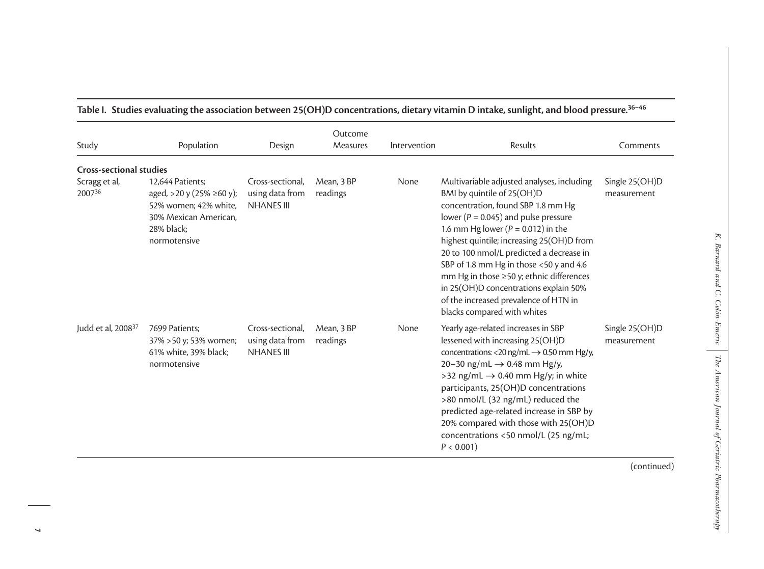| Study                                                     | Population                                                                                                                   | Design                                                   | Outcome<br>Measures    | Intervention | Results                                                                                                                                                                                                                                                                                                                                                                                                                                                                                               | Comments                      |
|-----------------------------------------------------------|------------------------------------------------------------------------------------------------------------------------------|----------------------------------------------------------|------------------------|--------------|-------------------------------------------------------------------------------------------------------------------------------------------------------------------------------------------------------------------------------------------------------------------------------------------------------------------------------------------------------------------------------------------------------------------------------------------------------------------------------------------------------|-------------------------------|
| <b>Cross-sectional studies</b><br>Scragg et al,<br>200736 | 12,644 Patients;<br>aged, >20 y (25% ≥60 y);<br>52% women; 42% white,<br>30% Mexican American.<br>28% black;<br>normotensive | Cross-sectional,<br>using data from<br><b>NHANES III</b> | Mean, 3 BP<br>readings | None         | Multivariable adjusted analyses, including<br>BMI by quintile of 25(OH)D<br>concentration, found SBP 1.8 mm Hg<br>lower ( $P = 0.045$ ) and pulse pressure<br>1.6 mm Hg lower ( $P = 0.012$ ) in the<br>highest quintile; increasing 25(OH)D from<br>20 to 100 nmol/L predicted a decrease in<br>SBP of 1.8 mm Hg in those <50 y and 4.6<br>mm Hg in those ≥50 y; ethnic differences<br>in 25(OH)D concentrations explain 50%<br>of the increased prevalence of HTN in<br>blacks compared with whites | Single 25(OH)D<br>measurement |
| Judd et al, 2008 <sup>37</sup>                            | 7699 Patients;<br>37% > 50 y; 53% women;<br>61% white, 39% black;<br>normotensive                                            | Cross-sectional.<br>using data from<br><b>NHANES III</b> | Mean, 3 BP<br>readings | None         | Yearly age-related increases in SBP<br>lessened with increasing 25(OH)D<br>concentrations: <20 ng/mL $\rightarrow$ 0.50 mm Hg/y,<br>20-30 ng/mL $\rightarrow$ 0.48 mm Hg/y,<br>>32 ng/mL $\rightarrow$ 0.40 mm Hg/y; in white<br>participants, 25(OH)D concentrations<br>>80 nmol/L (32 ng/mL) reduced the<br>predicted age-related increase in SBP by<br>20% compared with those with 25(OH)D<br>concentrations <50 nmol/L (25 ng/mL;<br>$P < 0.001$ )                                               | Single 25(OH)D<br>measurement |

# **Table I. Studies evaluating the association between 25(OH)D concentrations, dietary vitamin D intake, sunlight, and blood pressure.36–46**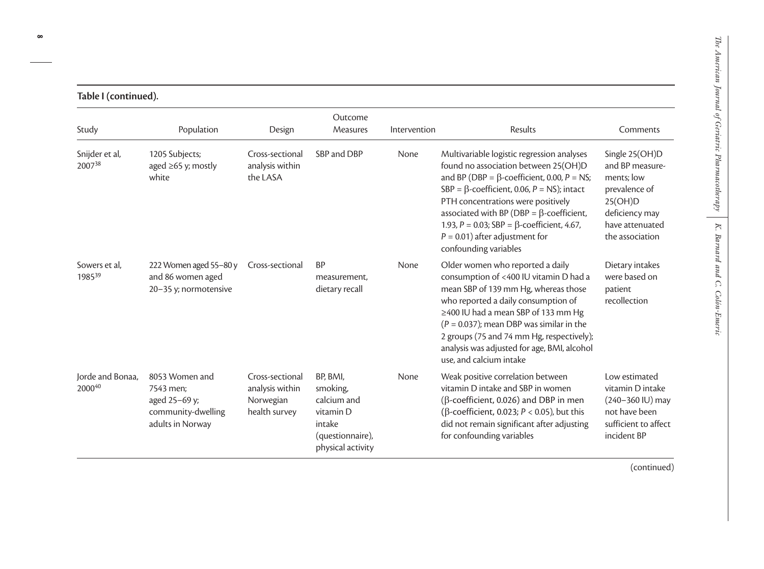| Table I (continued).       |                                                                                        |                                                                  |                                                                                                     |              |                                                                                                                                                                                                                                                                                                                                                                                                             |                                                                                                                                     |  |
|----------------------------|----------------------------------------------------------------------------------------|------------------------------------------------------------------|-----------------------------------------------------------------------------------------------------|--------------|-------------------------------------------------------------------------------------------------------------------------------------------------------------------------------------------------------------------------------------------------------------------------------------------------------------------------------------------------------------------------------------------------------------|-------------------------------------------------------------------------------------------------------------------------------------|--|
| Study                      | Population                                                                             | Design                                                           | Outcome<br>Measures                                                                                 | Intervention | Results                                                                                                                                                                                                                                                                                                                                                                                                     | Comments                                                                                                                            |  |
| Snijder et al,<br>200738   | 1205 Subjects;<br>aged $\geq 65$ y; mostly<br>white                                    | Cross-sectional<br>analysis within<br>the LASA                   | SBP and DBP                                                                                         | None         | Multivariable logistic regression analyses<br>found no association between 25(OH)D<br>and BP (DBP = $\beta$ -coefficient, 0.00, P = NS;<br>SBP = $\beta$ -coefficient, 0.06, P = NS); intact<br>PTH concentrations were positively<br>associated with BP (DBP = $\beta$ -coefficient,<br>1.93, $P = 0.03$ ; SBP = $\beta$ -coefficient, 4.67,<br>$P = 0.01$ ) after adjustment for<br>confounding variables | Single 25(OH)D<br>and BP measure-<br>ments; low<br>prevalence of<br>25(OH)D<br>deficiency may<br>have attenuated<br>the association |  |
| Sowers et al.<br>198539    | 222 Women aged 55-80 y<br>and 86 women aged<br>20-35 y; normotensive                   | Cross-sectional                                                  | <b>BP</b><br>measurement,<br>dietary recall                                                         | None         | Older women who reported a daily<br>consumption of <400 IU vitamin D had a<br>mean SBP of 139 mm Hg, whereas those<br>who reported a daily consumption of<br>≥400 IU had a mean SBP of 133 mm Hg<br>$(P = 0.037)$ ; mean DBP was similar in the<br>2 groups (75 and 74 mm Hg, respectively);<br>analysis was adjusted for age, BMI, alcohol<br>use, and calcium intake                                      | Dietary intakes<br>were based on<br>patient<br>recollection                                                                         |  |
| lorde and Bonaa.<br>200040 | 8053 Women and<br>7543 men;<br>aged 25-69 y;<br>community-dwelling<br>adults in Norway | Cross-sectional<br>analysis within<br>Norwegian<br>health survey | BP, BMI,<br>smoking,<br>calcium and<br>vitamin D<br>intake<br>(questionnaire),<br>physical activity | None         | Weak positive correlation between<br>vitamin D intake and SBP in women<br>( $\beta$ -coefficient, 0.026) and DBP in men<br>( $\beta$ -coefficient, 0.023; $P < 0.05$ ), but this<br>did not remain significant after adjusting<br>for confounding variables                                                                                                                                                 | Low estimated<br>vitamin D intake<br>(240-360 IU) may<br>not have been<br>sufficient to affect<br>incident BP                       |  |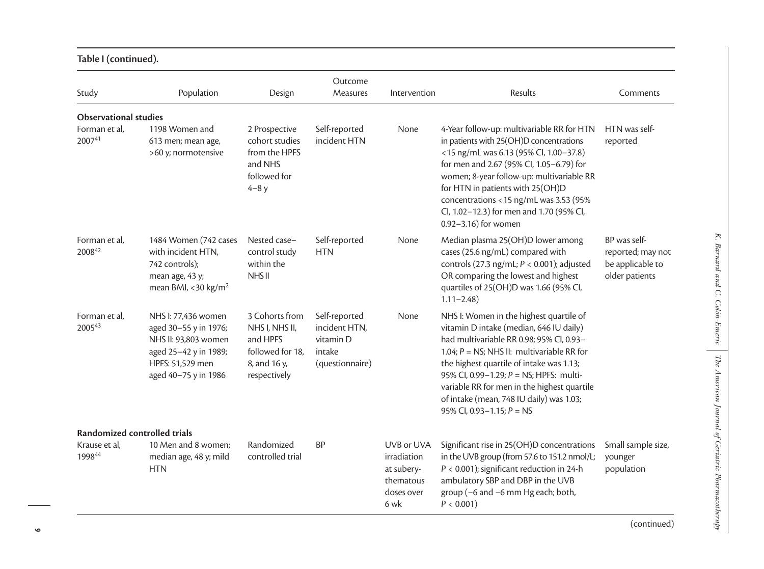| Study                        | Population                                                                                                                                | Design                                                                                           | Outcome<br>Measures                                                      | Intervention                                                               | Results                                                                                                                                                                                                                                                                                                                                                                                          | Comments                                                                |
|------------------------------|-------------------------------------------------------------------------------------------------------------------------------------------|--------------------------------------------------------------------------------------------------|--------------------------------------------------------------------------|----------------------------------------------------------------------------|--------------------------------------------------------------------------------------------------------------------------------------------------------------------------------------------------------------------------------------------------------------------------------------------------------------------------------------------------------------------------------------------------|-------------------------------------------------------------------------|
| <b>Observational studies</b> |                                                                                                                                           |                                                                                                  |                                                                          |                                                                            |                                                                                                                                                                                                                                                                                                                                                                                                  |                                                                         |
| Forman et al,<br>200741      | 1198 Women and<br>613 men; mean age,<br>>60 y; normotensive                                                                               | 2 Prospective<br>cohort studies<br>from the HPFS<br>and NHS<br>followed for<br>$4-8y$            | Self-reported<br>incident HTN                                            | None                                                                       | 4-Year follow-up: multivariable RR for HTN<br>in patients with 25(OH)D concentrations<br><15 ng/mL was 6.13 (95% CI, 1.00-37.8)<br>for men and 2.67 (95% CI, 1.05-6.79) for<br>women; 8-year follow-up: multivariable RR<br>for HTN in patients with 25(OH)D<br>concentrations <15 ng/mL was 3.53 (95%<br>Cl, 1.02-12.3) for men and 1.70 (95% Cl,<br>0.92-3.16) for women                       | HTN was self-<br>reported                                               |
| Forman et al,<br>200842      | 1484 Women (742 cases<br>with incident HTN,<br>742 controls);<br>mean age, 43 y;<br>mean BMI, <30 kg/m <sup>2</sup>                       | Nested case-<br>control study<br>within the<br>NHS <sub>II</sub>                                 | Self-reported<br><b>HTN</b>                                              | None                                                                       | Median plasma 25(OH)D lower among<br>cases (25.6 ng/mL) compared with<br>controls (27.3 ng/mL; $P < 0.001$ ); adjusted<br>OR comparing the lowest and highest<br>quartiles of 25(OH)D was 1.66 (95% CI,<br>$1.11 - 2.48$                                                                                                                                                                         | BP was self-<br>reported; may not<br>be applicable to<br>older patients |
| Forman et al,<br>200543      | NHS I: 77,436 women<br>aged 30-55 y in 1976;<br>NHS II: 93,803 women<br>aged 25-42 y in 1989;<br>HPFS: 51,529 men<br>aged 40-75 y in 1986 | 3 Cohorts from<br>NHS I, NHS II,<br>and HPFS<br>followed for 18,<br>8, and 16 y,<br>respectively | Self-reported<br>incident HTN,<br>vitamin D<br>intake<br>(questionnaire) | None                                                                       | NHS I: Women in the highest quartile of<br>vitamin D intake (median, 646 IU daily)<br>had multivariable RR 0.98; 95% CI, 0.93-<br>1.04; $P = NS$ ; NHS II: multivariable RR for<br>the highest quartile of intake was 1.13;<br>95% CI, 0.99-1.29; P = NS; HPFS: multi-<br>variable RR for men in the highest quartile<br>of intake (mean, 748 IU daily) was 1.03;<br>95% CI, 0.93-1.15; $P = NS$ |                                                                         |
| Randomized controlled trials |                                                                                                                                           |                                                                                                  |                                                                          |                                                                            |                                                                                                                                                                                                                                                                                                                                                                                                  |                                                                         |
| Krause et al,<br>199844      | 10 Men and 8 women;<br>median age, 48 y; mild<br><b>HTN</b>                                                                               | Randomized<br>controlled trial                                                                   | <b>BP</b>                                                                | UVB or UVA<br>irradiation<br>at subery-<br>thematous<br>doses over<br>6 wk | Significant rise in 25(OH)D concentrations<br>in the UVB group (from 57.6 to 151.2 nmol/L;<br>$P < 0.001$ ); significant reduction in 24-h<br>ambulatory SBP and DBP in the UVB<br>group (-6 and -6 mm Hg each; both,<br>$P < 0.001$ )                                                                                                                                                           | Small sample size,<br>younger<br>population                             |

# **Table I (continued).**

*K. Barnard and C. Colón-Emeric*

 $K.$  Barnard and  $C.$  Colón-Emeric

*The American Journal of Geriatric Pharmacotherapy*

The American Journal of Geriatric Pharmacotherapy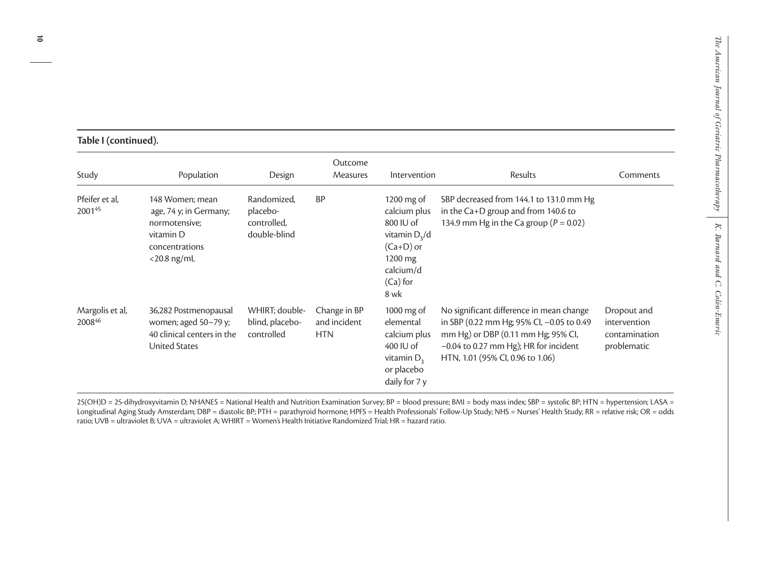| Table I (continued). |
|----------------------|
|----------------------|

| Study                     | Population                                                                                                  | Design                                                 | Outcome<br><b>Measures</b>                 | Intervention                                                                                                          | <b>Results</b>                                                                                                                                                                                             | Comments                                                    |
|---------------------------|-------------------------------------------------------------------------------------------------------------|--------------------------------------------------------|--------------------------------------------|-----------------------------------------------------------------------------------------------------------------------|------------------------------------------------------------------------------------------------------------------------------------------------------------------------------------------------------------|-------------------------------------------------------------|
| Pfeifer et al,<br>200145  | 148 Women; mean<br>age, 74 y; in Germany;<br>normotensive;<br>vitamin D<br>concentrations<br>$<$ 20.8 ng/mL | Randomized,<br>placebo-<br>controlled,<br>double-blind | <b>BP</b>                                  | 1200 mg of<br>calcium plus<br>800 IU of<br>vitamin $D_3/d$<br>$(Ca+D)$ or<br>1200 mg<br>calcium/d<br>(Ca) for<br>8 wk | SBP decreased from 144.1 to 131.0 mm Hg<br>in the Ca+D group and from 140.6 to<br>134.9 mm Hg in the Ca group ( $P = 0.02$ )                                                                               |                                                             |
| Margolis et al,<br>200846 | 36,282 Postmenopausal<br>women; aged $50-79$ y;<br>40 clinical centers in the<br><b>United States</b>       | WHIRT; double-<br>blind, placebo-<br>controlled        | Change in BP<br>and incident<br><b>HTN</b> | 1000 $mg$ of<br>elemental<br>calcium plus<br>$400$ IU of<br>vitamin $D3$<br>or placebo<br>daily for 7 y               | No significant difference in mean change<br>in SBP (0.22 mm Hg; 95% CI, -0.05 to 0.49<br>mm Hg) or DBP (0.11 mm Hg; 95% CI,<br>$-0.04$ to 0.27 mm Hg); HR for incident<br>HTN, 1.01 (95% Cl, 0.96 to 1.06) | Dropout and<br>intervention<br>contamination<br>problematic |

25(OH)D = 25-dihydroxyvitamin D; NHANES = National Health and Nutrition Examination Survey; BP = blood pressure; BMI = body mass index; SBP = systolic BP; HTN = hypertension; LASA = Longitudinal Aging Study Amsterdam; DBP = diastolic BP; PTH = parathyroid hormone; HPFS = Health Professionals' Follow-Up Study; NHS = Nurses' Health Study; RR = relative risk; OR = odds ratio; UVB = ultraviolet B; UVA = ultraviolet A; WHIRT = Women's Health Initiative Randomized Trial; HR = hazard ratio.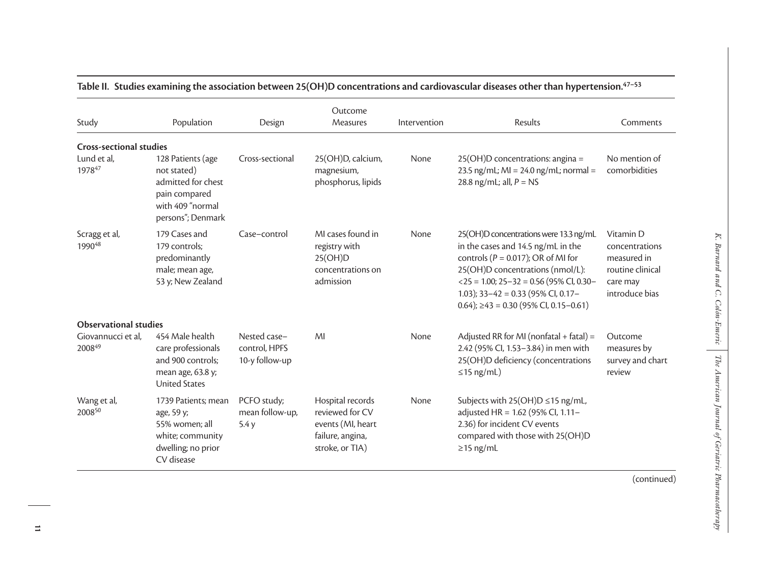| Study                          | Population                                                                                                       | Design                                          | Outcome<br>Measures                                                                             | Intervention | Results                                                                                                                                                                                                                                                                                            | Comments                                                                                     |
|--------------------------------|------------------------------------------------------------------------------------------------------------------|-------------------------------------------------|-------------------------------------------------------------------------------------------------|--------------|----------------------------------------------------------------------------------------------------------------------------------------------------------------------------------------------------------------------------------------------------------------------------------------------------|----------------------------------------------------------------------------------------------|
| <b>Cross-sectional studies</b> |                                                                                                                  |                                                 |                                                                                                 |              |                                                                                                                                                                                                                                                                                                    |                                                                                              |
| Lund et al,<br>197847          | 128 Patients (age<br>not stated)<br>admitted for chest<br>pain compared<br>with 409 "normal<br>persons"; Denmark | Cross-sectional                                 | 25(OH)D, calcium,<br>magnesium,<br>phosphorus, lipids                                           | None         | 25(OH)D concentrations: angina =<br>23.5 ng/mL; $Ml = 24.0$ ng/mL; normal =<br>28.8 ng/mL; all, $P = NS$                                                                                                                                                                                           | No mention of<br>comorbidities                                                               |
| Scragg et al,<br>199048        | 179 Cases and<br>179 controls;<br>predominantly<br>male; mean age,<br>53 y; New Zealand                          | Case-control                                    | MI cases found in<br>registry with<br>25(OH)D<br>concentrations on<br>admission                 | None         | 25(OH)D concentrations were 13.3 ng/mL<br>in the cases and 14.5 ng/mL in the<br>controls ( $P = 0.017$ ); OR of MI for<br>25(OH)D concentrations (nmol/L):<br>$<$ 25 = 1.00; 25-32 = 0.56 (95% CI, 0.30-<br>1.03); $33-42 = 0.33$ (95% CI, 0.17-<br>$0.64$ ); $\geq$ 43 = 0.30 (95% CI, 0.15-0.61) | Vitamin D<br>concentrations<br>measured in<br>routine clinical<br>care may<br>introduce bias |
| <b>Observational studies</b>   |                                                                                                                  |                                                 |                                                                                                 |              |                                                                                                                                                                                                                                                                                                    |                                                                                              |
| Giovannucci et al,<br>200849   | 454 Male health<br>care professionals<br>and 900 controls;<br>mean age, 63.8 y;<br><b>United States</b>          | Nested case-<br>control, HPFS<br>10-y follow-up | MI                                                                                              | None         | Adjusted RR for MI (nonfatal + fatal) =<br>2.42 (95% Cl, 1.53-3.84) in men with<br>25(OH)D deficiency (concentrations<br>$\leq$ 15 ng/mL)                                                                                                                                                          | Outcome<br>measures by<br>survey and chart<br>review                                         |
| Wang et al,<br>200850          | 1739 Patients; mean<br>age, 59 y;<br>55% women; all<br>white; community<br>dwelling; no prior<br>CV disease      | PCFO study;<br>mean follow-up,<br>5.4y          | Hospital records<br>reviewed for CV<br>events (MI, heart<br>failure, angina,<br>stroke, or TIA) | None         | Subjects with 25(OH)D ≤15 ng/mL,<br>adjusted HR = 1.62 (95% Cl, 1.11-<br>2.36) for incident CV events<br>compared with those with 25(OH)D<br>$\geq$ 15 ng/mL                                                                                                                                       |                                                                                              |
|                                |                                                                                                                  |                                                 |                                                                                                 |              |                                                                                                                                                                                                                                                                                                    | (continued)                                                                                  |

*K. Barnard and C. Colón-Emeric*

*The American Journal of Geriatric Pharmacotherapy*

 $K.$  Barnard and C. Colón-Emeric The American Journal of Geriatric Pharmacotherapy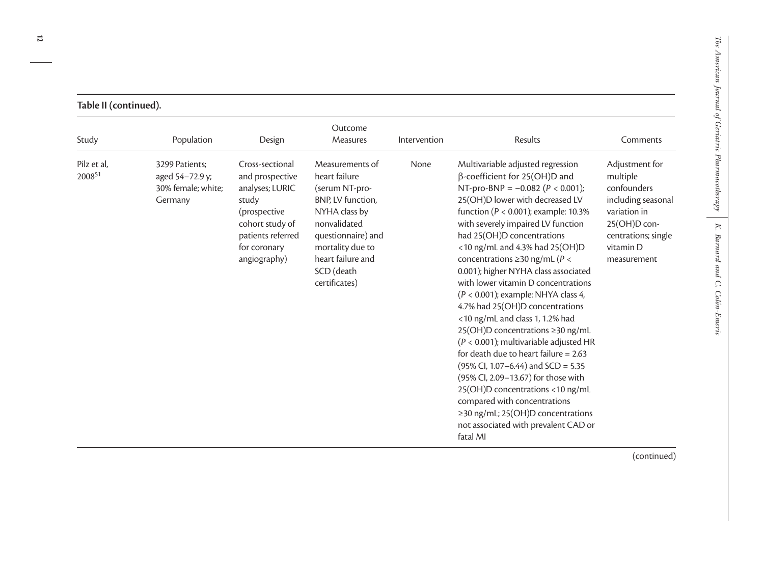| Study                 | Population                                                         | Design                                                                                                                                                 | Outcome<br>Measures                                                                                                                                                                                    | Intervention | Results                                                                                                                                                                                                                                                                                                                                                                                                                                                                                                                                                                                                                                                                                                                                                                                                                                                                                                                | Comments                                                                                                                                           |
|-----------------------|--------------------------------------------------------------------|--------------------------------------------------------------------------------------------------------------------------------------------------------|--------------------------------------------------------------------------------------------------------------------------------------------------------------------------------------------------------|--------------|------------------------------------------------------------------------------------------------------------------------------------------------------------------------------------------------------------------------------------------------------------------------------------------------------------------------------------------------------------------------------------------------------------------------------------------------------------------------------------------------------------------------------------------------------------------------------------------------------------------------------------------------------------------------------------------------------------------------------------------------------------------------------------------------------------------------------------------------------------------------------------------------------------------------|----------------------------------------------------------------------------------------------------------------------------------------------------|
| Pilz et al,<br>200851 | 3299 Patients:<br>aged 54-72.9 y;<br>30% female; white;<br>Germany | Cross-sectional<br>and prospective<br>analyses; LURIC<br>study<br>(prospective<br>cohort study of<br>patients referred<br>for coronary<br>angiography) | Measurements of<br>heart failure<br>(serum NT-pro-<br>BNP, LV function,<br>NYHA class by<br>nonvalidated<br>questionnaire) and<br>mortality due to<br>heart failure and<br>SCD (death<br>certificates) | None         | Multivariable adjusted regression<br>$\beta$ -coefficient for 25(OH)D and<br>NT-pro-BNP = $-0.082$ (P < 0.001);<br>25(OH)D lower with decreased LV<br>function ( $P < 0.001$ ); example: 10.3%<br>with severely impaired LV function<br>had 25(OH)D concentrations<br>$<$ 10 ng/mL and 4.3% had 25(OH)D<br>concentrations $\geq$ 30 ng/mL (P <<br>0.001); higher NYHA class associated<br>with lower vitamin D concentrations<br>$(P < 0.001)$ ; example: NHYA class 4,<br>4.7% had 25(OH)D concentrations<br><10 ng/mL and class 1, 1.2% had<br>25(OH)D concentrations ≥30 ng/mL<br>$(P < 0.001)$ ; multivariable adjusted HR<br>for death due to heart failure = $2.63$<br>$(95\%$ Cl, 1.07–6.44) and SCD = 5.35<br>(95% Cl, 2.09-13.67) for those with<br>25(OH)D concentrations <10 ng/mL<br>compared with concentrations<br>≥30 ng/mL; 25(OH)D concentrations<br>not associated with prevalent CAD or<br>fatal MI | Adjustment for<br>multiple<br>confounders<br>including seasonal<br>variation in<br>25(OH)D con-<br>centrations; single<br>vitamin D<br>measurement |

# **Table II (continued).**

**12**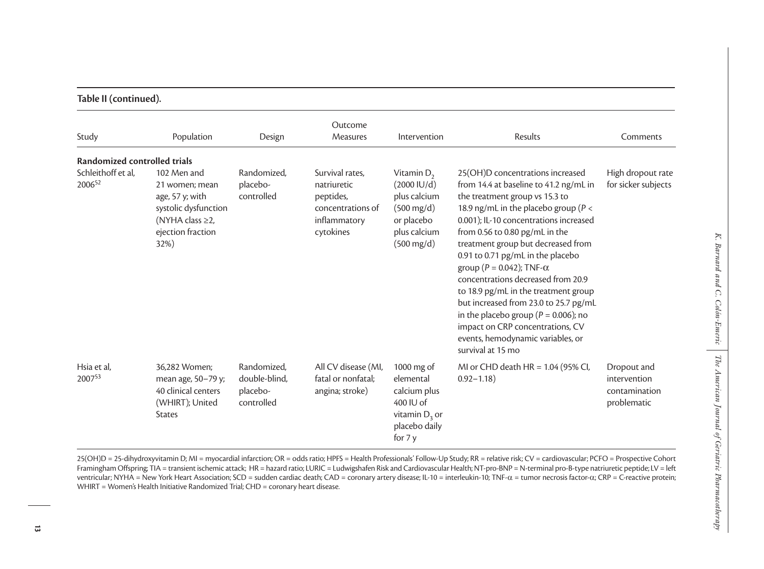| Study                        | Population                                                                                                               | Design                                                 | Outcome<br>Measures                                                                           | Intervention                                                                                                                                  | Results                                                                                                                                                                                                                                                                                                                                                                                                                                                                                                                                                                                                                 | Comments                                                    |
|------------------------------|--------------------------------------------------------------------------------------------------------------------------|--------------------------------------------------------|-----------------------------------------------------------------------------------------------|-----------------------------------------------------------------------------------------------------------------------------------------------|-------------------------------------------------------------------------------------------------------------------------------------------------------------------------------------------------------------------------------------------------------------------------------------------------------------------------------------------------------------------------------------------------------------------------------------------------------------------------------------------------------------------------------------------------------------------------------------------------------------------------|-------------------------------------------------------------|
| Randomized controlled trials |                                                                                                                          |                                                        |                                                                                               |                                                                                                                                               |                                                                                                                                                                                                                                                                                                                                                                                                                                                                                                                                                                                                                         |                                                             |
| Schleithoff et al,<br>200652 | 102 Men and<br>21 women; mean<br>age, 57 y; with<br>systolic dysfunction<br>(NYHA class ≥2,<br>ejection fraction<br>32%) | Randomized,<br>placebo-<br>controlled                  | Survival rates,<br>natriuretic<br>peptides,<br>concentrations of<br>inflammatory<br>cytokines | Vitamin $D_2$<br>$(2000 \, \text{IU}/\text{d})$<br>plus calcium<br>$(500 \text{ mg/d})$<br>or placebo<br>plus calcium<br>$(500 \text{ mg/d})$ | 25(OH)D concentrations increased<br>from 14.4 at baseline to 41.2 ng/mL in<br>the treatment group vs 15.3 to<br>18.9 ng/mL in the placebo group ( $P <$<br>0.001); IL-10 concentrations increased<br>from 0.56 to 0.80 pg/mL in the<br>treatment group but decreased from<br>0.91 to 0.71 pg/mL in the placebo<br>group ( $P = 0.042$ ); TNF- $\alpha$<br>concentrations decreased from 20.9<br>to 18.9 pg/mL in the treatment group<br>but increased from 23.0 to 25.7 pg/mL<br>in the placebo group ( $P = 0.006$ ); no<br>impact on CRP concentrations, CV<br>events, hemodynamic variables, or<br>survival at 15 mo | High dropout rate<br>for sicker subjects                    |
| Hsia et al,<br>200753        | 36,282 Women;<br>mean age, 50-79 y;<br>40 clinical centers<br>(WHIRT); United<br><b>States</b>                           | Randomized,<br>double-blind,<br>placebo-<br>controlled | All CV disease (MI,<br>fatal or nonfatal;<br>angina; stroke)                                  | 1000 mg of<br>elemental<br>calcium plus<br>400 IU of<br>vitamin $D_3$ or<br>placebo daily<br>for 7 y                                          | MI or CHD death HR = 1.04 (95% CI,<br>$0.92 - 1.18$                                                                                                                                                                                                                                                                                                                                                                                                                                                                                                                                                                     | Dropout and<br>intervention<br>contamination<br>problematic |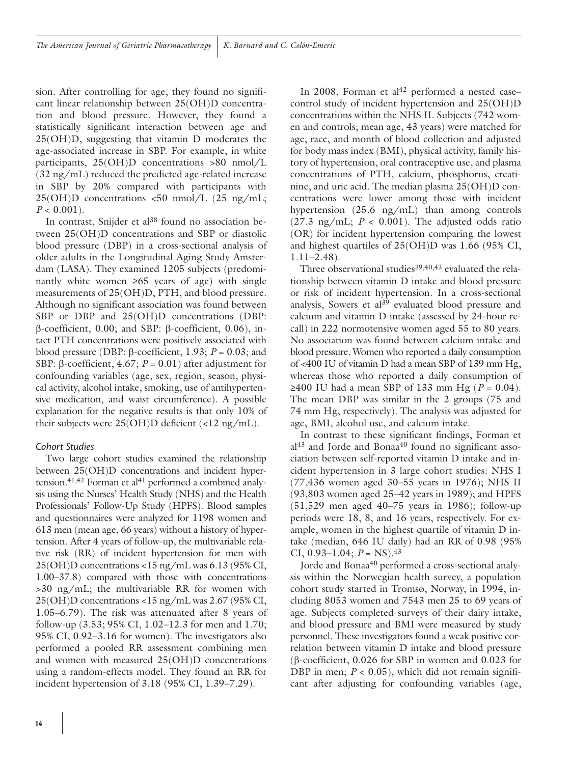sion. After controlling for age, they found no significant linear relationship between 25(OH)D concentration and blood pressure. However, they found a statistically significant interaction between age and 25(OH)D, suggesting that vitamin D moderates the age-associated increase in SBP. For example, in white participants, 25(OH)D concentrations >80 nmol/L (32 ng/mL) reduced the predicted age-related increase in SBP by 20% compared with participants with  $25(OH)D$  concentrations <50 nmol/L (25 ng/mL;  $P < 0.001$ ).

In contrast, Snijder et al<sup>38</sup> found no association between 25(OH)D concentrations and SBP or diastolic blood pressure (DBP) in a cross-sectional analysis of older adults in the Longitudinal Aging Study Amsterdam (LASA). They examined 1205 subjects (predominantly white women  $≥65$  years of age) with single measurements of 25(OH)D, PTH, and blood pressure. Although no significant association was found between SBP or DBP and 25(OH)D concentrations (DBP: β-coefficient, 0.00; and SBP: β-coefficient, 0.06), intact PTH concentrations were positively associated with blood pressure (DBP: β-coefficient, 1.93; *P* = 0.03; and SBP: β-coefficient, 4.67; *P* = 0.01) after adjustment for confounding variables (age, sex, region, season, physical activity, alcohol intake, smoking, use of antihypertensive medication, and waist circumference). A possible explanation for the negative results is that only 10% of their subjects were 25(OH)D deficient (<12 ng/mL).

# *Cohort Studies*

Two large cohort studies examined the relationship between 25(OH)D concentrations and incident hypertension.<sup>41,42</sup> Forman et al<sup>41</sup> performed a combined analysis using the Nurses' Health Study (NHS) and the Health Professionals' Follow-Up Study (HPFS). Blood samples and questionnaires were analyzed for 1198 women and 613 men (mean age, 66 years) without a history of hypertension. After 4 years of follow-up, the multivariable relative risk (RR) of incident hypertension for men with 25(OH)D concentrations <15 ng/mL was 6.13 (95% CI, 1.00–37.8) compared with those with concentrations >30 ng/mL; the multivariable RR for women with 25(OH)D concentrations <15 ng/mL was 2.67 (95% CI, 1.05–6.79). The risk was attenuated after 8 years of follow-up (3.53; 95% CI, 1.02–12.3 for men and 1.70; 95% CI, 0.92–3.16 for women). The investigators also performed a pooled RR assessment combining men and women with measured 25(OH)D concentrations using a random-effects model. They found an RR for incident hypertension of 3.18 (95% CI, 1.39–7.29).

In 2008, Forman et al<sup>42</sup> performed a nested casecontrol study of incident hypertension and 25(OH)D concentrations within the NHS II. Subjects (742 women and controls; mean age, 43 years) were matched for age, race, and month of blood collection and adjusted for body mass index (BMI), physical activity, family history of hypertension, oral contraceptive use, and plasma concentrations of PTH, calcium, phosphorus, creatinine, and uric acid. The median plasma 25(OH)D concentrations were lower among those with incident hypertension (25.6 ng/mL) than among controls  $(27.3 \text{ ng/mL}; P < 0.001)$ . The adjusted odds ratio (OR) for incident hypertension comparing the lowest and highest quartiles of 25(OH)D was 1.66 (95% CI, 1.11–2.48).

Three observational studies<sup>39,40,43</sup> evaluated the relationship between vitamin D intake and blood pressure or risk of incident hypertension. In a cross-sectional analysis, Sowers et al<sup>39</sup> evaluated blood pressure and calcium and vitamin D intake (assessed by 24-hour recall) in 222 normotensive women aged 55 to 80 years. No association was found between calcium intake and blood pressure. Women who reported a daily consumption of <400 IU of vitamin D had a mean SBP of 139 mm Hg, whereas those who reported a daily consumption of ≥400 IU had a mean SBP of 133 mm Hg (*P* = 0.04). The mean DBP was similar in the 2 groups (75 and 74 mm Hg, respectively). The analysis was adjusted for age, BMI, alcohol use, and calcium intake.

In contrast to these significant findings, Forman et al<sup>43</sup> and Jorde and Bonaa<sup>40</sup> found no significant association between self-reported vitamin D intake and incident hypertension in 3 large cohort studies: NHS I (77,436 women aged 30–55 years in 1976); NHS II (93,803 women aged 25–42 years in 1989); and HPFS (51,529 men aged 40–75 years in 1986); follow-up periods were 18, 8, and 16 years, respectively. For example, women in the highest quartile of vitamin D intake (median, 646 IU daily) had an RR of 0.98 (95% CI,  $0.93-1.04$ ;  $P = NS$ ).<sup>43</sup>

Jorde and Bonaa<sup>40</sup> performed a cross-sectional analysis within the Norwegian health survey, a population cohort study started in Tromsø, Norway, in 1994, including 8053 women and 7543 men 25 to 69 years of age. Subjects completed surveys of their dairy intake, and blood pressure and BMI were measured by study personnel. These investigators found a weak positive correlation between vitamin D intake and blood pressure (β-coefficient, 0.026 for SBP in women and 0.023 for DBP in men;  $P < 0.05$ ), which did not remain significant after adjusting for confounding variables (age,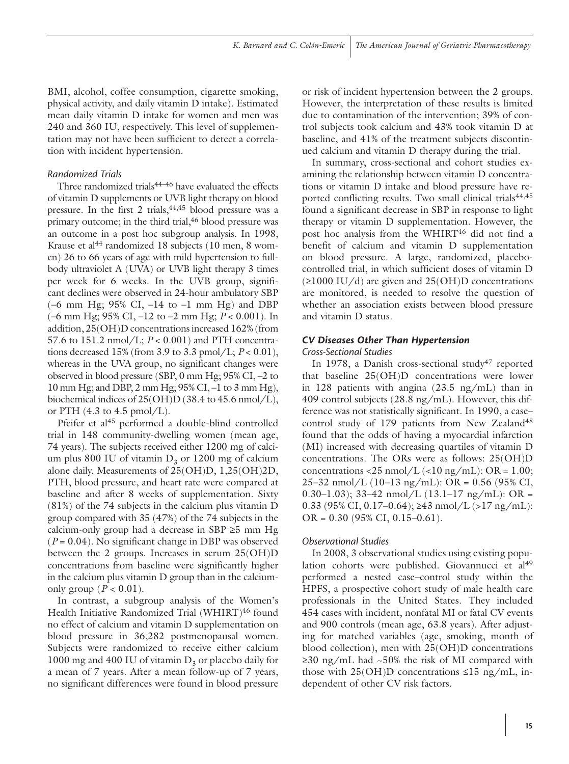BMI, alcohol, coffee consumption, cigarette smoking, physical activity, and daily vitamin D intake). Estimated mean daily vitamin D intake for women and men was 240 and 360 IU, respectively. This level of supplementation may not have been sufficient to detect a correlation with incident hypertension.

### *Randomized Trials*

Three randomized trials<sup>44-46</sup> have evaluated the effects of vitamin D supplements or UVB light therapy on blood pressure. In the first 2 trials,  $44,45$  blood pressure was a primary outcome; in the third trial,<sup>46</sup> blood pressure was an outcome in a post hoc subgroup analysis. In 1998, Krause et al<sup>44</sup> randomized 18 subjects (10 men, 8 women) 26 to 66 years of age with mild hypertension to fullbody ultraviolet A (UVA) or UVB light therapy 3 times per week for 6 weeks. In the UVB group, significant declines were observed in 24-hour ambulatory SBP  $(-6 \text{ mm Hg}; 95\% \text{ CI}, -14 \text{ to } -1 \text{ mm Hg})$  and DBP (–6 mm Hg; 95% CI, –12 to –2 mm Hg; *P* < 0.001). In addition, 25(OH)D concentrations increased 162% (from 57.6 to 151.2 nmol/L; *P* < 0.001) and PTH concentrations decreased 15% (from 3.9 to 3.3 pmol/L; *P* < 0.01), whereas in the UVA group, no significant changes were observed in blood pressure (SBP, 0 mm Hg; 95% CI, –2 to 10 mm Hg; and DBP, 2 mm Hg; 95% CI, –1 to 3 mm Hg), biochemical indices of 25(OH)D (38.4 to 45.6 nmol/L), or PTH  $(4.3 \text{ to } 4.5 \text{ pmol/L}).$ 

Pfeifer et al<sup>45</sup> performed a double-blind controlled trial in 148 community-dwelling women (mean age, 74 years). The subjects received either 1200 mg of calcium plus 800 IU of vitamin  $D_3$  or 1200 mg of calcium alone daily. Measurements of 25(OH)D, 1,25(OH)2D, PTH, blood pressure, and heart rate were compared at baseline and after 8 weeks of supplementation. Sixty (81%) of the 74 subjects in the calcium plus vitamin D group compared with 35 (47%) of the 74 subjects in the calcium-only group had a decrease in SBP ≥5 mm Hg (*P* = 0.04). No significant change in DBP was observed between the 2 groups. Increases in serum 25(OH)D concentrations from baseline were significantly higher in the calcium plus vitamin D group than in the calciumonly group ( $P < 0.01$ ).

In contrast, a subgroup analysis of the Women's Health Initiative Randomized Trial (WHIRT)<sup>46</sup> found no effect of calcium and vitamin D supplementation on blood pressure in 36,282 postmenopausal women. Subjects were randomized to receive either calcium 1000 mg and 400 IU of vitamin  $D_3$  or placebo daily for a mean of 7 years. After a mean follow-up of 7 years, no significant differences were found in blood pressure

or risk of incident hypertension between the 2 groups. However, the interpretation of these results is limited due to contamination of the intervention; 39% of control subjects took calcium and 43% took vitamin D at baseline, and 41% of the treatment subjects discontinued calcium and vitamin D therapy during the trial.

In summary, cross-sectional and cohort studies examining the relationship between vitamin D concentrations or vitamin D intake and blood pressure have reported conflicting results. Two small clinical trials<sup>44,45</sup> found a significant decrease in SBP in response to light therapy or vitamin D supplementation. However, the post hoc analysis from the WHIRT<sup>46</sup> did not find a benefit of calcium and vitamin D supplementation on blood pressure. A large, randomized, placebocontrolled trial, in which sufficient doses of vitamin D  $(\geq 1000 \text{ IU/d})$  are given and  $25(OH)D$  concentrations are monitored, is needed to resolve the question of whether an association exists between blood pressure and vitamin D status.

### *CV Diseases Other Than Hypertension*

### *Cross-Sectional Studies*

In 1978, a Danish cross-sectional study<sup>47</sup> reported that baseline 25(OH)D concentrations were lower in 128 patients with angina (23.5 ng/mL) than in 409 control subjects (28.8 ng/mL). However, this difference was not statistically significant. In 1990, a case– control study of 179 patients from New Zealand<sup>48</sup> found that the odds of having a myocardial infarction (MI) increased with decreasing quartiles of vitamin D concentrations. The ORs were as follows: 25(OH)D concentrations <25 nmol/L (<10 ng/mL): OR = 1.00; 25–32 nmol/L (10–13 ng/mL): OR = 0.56 (95% CI, 0.30–1.03); 33–42 nmol/L  $(13.1–17$  ng/mL): OR = 0.33 (95% CI, 0.17–0.64);  $\geq$ 43 nmol/L (>17 ng/mL):  $OR = 0.30$  (95% CI, 0.15–0.61).

# *Observational Studies*

In 2008, 3 observational studies using existing population cohorts were published. Giovannucci et al<sup>49</sup> performed a nested case–control study within the HPFS, a prospective cohort study of male health care professionals in the United States. They included 454 cases with incident, nonfatal MI or fatal CV events and 900 controls (mean age, 63.8 years). After adjusting for matched variables (age, smoking, month of blood collection), men with 25(OH)D concentrations ≥30 ng/mL had ~50% the risk of MI compared with those with  $25(OH)D$  concentrations  $\leq 15$  ng/mL, independent of other CV risk factors.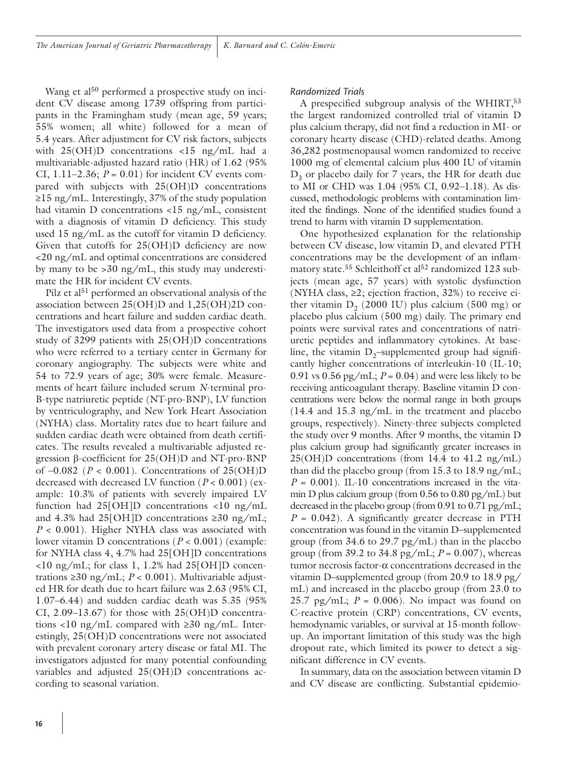Wang et al<sup>50</sup> performed a prospective study on incident CV disease among 1739 offspring from participants in the Framingham study (mean age, 59 years; 55% women; all white) followed for a mean of 5.4 years. After adjustment for CV risk factors, subjects with 25(OH)D concentrations <15 ng/mL had a multivariable-adjusted hazard ratio (HR) of 1.62 (95% CI,  $1.11-2.36$ ;  $P = 0.01$ ) for incident CV events compared with subjects with 25(OH)D concentrations ≥15 ng/mL. Interestingly, 37% of the study population had vitamin D concentrations <15 ng/mL, consistent with a diagnosis of vitamin D deficiency. This study used 15 ng/mL as the cutoff for vitamin D deficiency. Given that cutoffs for 25(OH)D deficiency are now <20 ng/mL and optimal concentrations are considered by many to be >30 ng/mL, this study may underestimate the HR for incident CV events.

Pilz et al<sup>51</sup> performed an observational analysis of the association between 25(OH)D and 1,25(OH)2D concentrations and heart failure and sudden cardiac death. The investigators used data from a prospective cohort study of 3299 patients with 25(OH)D concentrations who were referred to a tertiary center in Germany for coronary angiography. The subjects were white and 54 to 72.9 years of age; 30% were female. Measurements of heart failure included serum *N*-terminal pro-B-type natriuretic peptide (NT-pro-BNP), LV function by ventriculography, and New York Heart Association (NYHA) class. Mortality rates due to heart failure and sudden cardiac death were obtained from death certificates. The results revealed a multivariable adjusted regression β-coefficient for 25(OH)D and NT-pro-BNP of –0.082 (*P* < 0.001). Concentrations of 25(OH)D decreased with decreased LV function (*P* < 0.001) (example: 10.3% of patients with severely impaired LV function had 25[OH]D concentrations <10 ng/mL and 4.3% had 25[OH]D concentrations  $\geq 30$  ng/mL; *P* < 0.001). Higher NYHA class was associated with lower vitamin D concentrations (*P* < 0.001) (example: for NYHA class 4, 4.7% had 25[OH]D concentrations <10 ng/mL; for class 1, 1.2% had 25[OH]D concentrations ≥30 ng/mL; *P* < 0.001). Multivariable adjusted HR for death due to heart failure was 2.63 (95% CI, 1.07–6.44) and sudden cardiac death was 5.35 (95% CI,  $2.09-13.67$ ) for those with  $25(OH)D$  concentrations <10 ng/mL compared with  $\geq$ 30 ng/mL. Interestingly, 25(OH)D concentrations were not associated with prevalent coronary artery disease or fatal MI. The investigators adjusted for many potential confounding variables and adjusted 25(OH)D concentrations according to seasonal variation.

#### *Randomized Trials*

A prespecified subgroup analysis of the WHIRT,<sup>53</sup> the largest randomized controlled trial of vitamin D plus calcium therapy, did not find a reduction in MI- or coronary hearty disease (CHD)-related deaths. Among 36,282 postmenopausal women randomized to receive 1000 mg of elemental calcium plus 400 IU of vitamin  $D<sub>3</sub>$  or placebo daily for 7 years, the HR for death due to MI or CHD was 1.04 (95% CI, 0.92–1.18). As discussed, methodologic problems with contamination limited the findings. None of the identified studies found a trend to harm with vitamin D supplementation.

One hypothesized explanation for the relationship between CV disease, low vitamin D, and elevated PTH concentrations may be the development of an inflammatory state.<sup>55</sup> Schleithoff et al<sup>52</sup> randomized 123 subjects (mean age, 57 years) with systolic dysfunction (NYHA class, ≥2; ejection fraction, 32%) to receive either vitamin  $D<sub>2</sub>$  (2000 IU) plus calcium (500 mg) or placebo plus calcium (500 mg) daily. The primary end points were survival rates and concentrations of natriuretic peptides and inflammatory cytokines. At baseline, the vitamin  $D_2$ -supplemented group had significantly higher concentrations of interleukin-10 (IL-10; 0.91 vs  $0.56$  pg/mL;  $P = 0.04$ ) and were less likely to be receiving anticoagulant therapy. Baseline vitamin D concentrations were below the normal range in both groups (14.4 and 15.3 ng/mL in the treatment and placebo groups, respectively). Ninety-three subjects completed the study over 9 months. After 9 months, the vitamin D plus calcium group had significantly greater increases in 25(OH)D concentrations (from 14.4 to 41.2 ng/mL) than did the placebo group (from 15.3 to 18.9 ng/mL;  $P = 0.001$ ). IL-10 concentrations increased in the vitamin D plus calcium group (from 0.56 to 0.80 pg/mL) but decreased in the placebo group (from 0.91 to 0.71 pg/mL; *P* = 0.042). A significantly greater decrease in PTH concentration was found in the vitamin D–supplemented group (from 34.6 to 29.7 pg/mL) than in the placebo group (from 39.2 to 34.8 pg/mL; *P* = 0.007), whereas tumor necrosis factor-α concentrations decreased in the vitamin D–supplemented group (from 20.9 to 18.9 pg/ mL) and increased in the placebo group (from 23.0 to 25.7 pg/mL;  $P = 0.006$ ). No impact was found on C-reactive protein (CRP) concentrations, CV events, hemodynamic variables, or survival at 15-month followup. An important limitation of this study was the high dropout rate, which limited its power to detect a significant difference in CV events.

In summary, data on the association between vitamin D and CV disease are conflicting. Substantial epidemio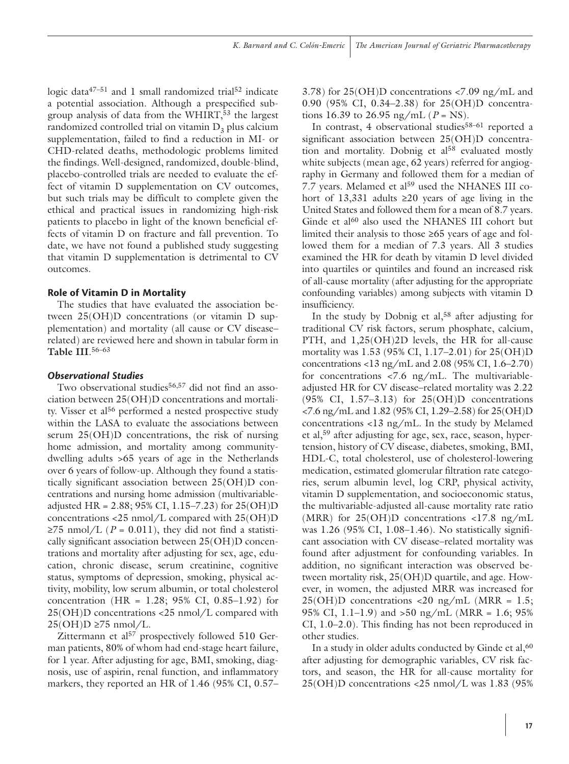logic data $47-51$  and 1 small randomized trial<sup>52</sup> indicate a potential association. Although a prespecified subgroup analysis of data from the WHIRT,<sup>53</sup> the largest randomized controlled trial on vitamin  $D_2$  plus calcium supplementation, failed to find a reduction in MI- or CHD-related deaths, methodologic problems limited the findings. Well-designed, randomized, double-blind, placebo-controlled trials are needed to evaluate the effect of vitamin D supplementation on CV outcomes, but such trials may be difficult to complete given the ethical and practical issues in randomizing high-risk patients to placebo in light of the known beneficial effects of vitamin D on fracture and fall prevention. To date, we have not found a published study suggesting that vitamin D supplementation is detrimental to CV outcomes.

#### **Role of Vitamin D in Mortality**

The studies that have evaluated the association between 25(OH)D concentrations (or vitamin D supplementation) and mortality (all cause or CV disease– related) are reviewed here and shown in tabular form in **Table III**. 56–63

### *Observational Studies*

Two observational studies<sup>56,57</sup> did not find an association between 25(OH)D concentrations and mortality. Visser et al<sup>56</sup> performed a nested prospective study within the LASA to evaluate the associations between serum 25(OH)D concentrations, the risk of nursing home admission, and mortality among communitydwelling adults >65 years of age in the Netherlands over 6 years of follow-up. Although they found a statistically significant association between 25(OH)D concentrations and nursing home admission (multivariableadjusted HR =  $2.88$ ; 95% CI, 1.15–7.23) for  $25(OH)D$ concentrations <25 nmol/L compared with 25(OH)D  $\geq$ 75 nmol/L (*P* = 0.011), they did not find a statistically significant association between 25(OH)D concentrations and mortality after adjusting for sex, age, education, chronic disease, serum creatinine, cognitive status, symptoms of depression, smoking, physical activity, mobility, low serum albumin, or total cholesterol concentration (HR = 1.28; 95% CI, 0.85–1.92) for 25(OH)D concentrations <25 nmol/L compared with  $25(OH)D \ge 75$  nmol/L.

Zittermann et al<sup>57</sup> prospectively followed 510 German patients, 80% of whom had end-stage heart failure, for 1 year. After adjusting for age, BMI, smoking, diagnosis, use of aspirin, renal function, and inflammatory markers, they reported an HR of 1.46 (95% CI, 0.57–

3.78) for 25(OH)D concentrations <7.09 ng/mL and 0.90 (95% CI, 0.34–2.38) for 25(OH)D concentrations 16.39 to 26.95 ng/mL  $(P = NS)$ .

In contrast, 4 observational studies<sup>58-61</sup> reported a significant association between 25(OH)D concentration and mortality. Dobnig et al<sup>58</sup> evaluated mostly white subjects (mean age, 62 years) referred for angiography in Germany and followed them for a median of 7.7 years. Melamed et al<sup>59</sup> used the NHANES III cohort of 13,331 adults ≥20 years of age living in the United States and followed them for a mean of 8.7 years. Ginde et al<sup>60</sup> also used the NHANES III cohort but limited their analysis to those ≥65 years of age and followed them for a median of 7.3 years. All 3 studies examined the HR for death by vitamin D level divided into quartiles or quintiles and found an increased risk of all-cause mortality (after adjusting for the appropriate confounding variables) among subjects with vitamin D insufficiency.

In the study by Dobnig et al,<sup>58</sup> after adjusting for traditional CV risk factors, serum phosphate, calcium, PTH, and 1,25(OH)2D levels, the HR for all-cause mortality was 1.53 (95% CI, 1.17–2.01) for 25(OH)D concentrations <13 ng/mL and 2.08 (95% CI, 1.6–2.70) for concentrations <7.6 ng/mL. The multivariableadjusted HR for CV disease–related mortality was 2.22 (95% CI, 1.57–3.13) for 25(OH)D concentrations <7.6 ng/mL and 1.82 (95% CI, 1.29–2.58) for 25(OH)D concentrations <13 ng/mL. In the study by Melamed et al,59 after adjusting for age, sex, race, season, hypertension, history of CV disease, diabetes, smoking, BMI, HDL-C, total cholesterol, use of cholesterol-lowering medication, estimated glomerular filtration rate categories, serum albumin level, log CRP, physical activity, vitamin D supplementation, and socioeconomic status, the multivariable-adjusted all-cause mortality rate ratio (MRR) for  $25(OH)D$  concentrations <17.8 ng/mL was 1.26 (95% CI, 1.08–1.46). No statistically significant association with CV disease–related mortality was found after adjustment for confounding variables. In addition, no significant interaction was observed between mortality risk, 25(OH)D quartile, and age. However, in women, the adjusted MRR was increased for  $25(OH)D$  concentrations <20 ng/mL (MRR = 1.5; 95% CI, 1.1–1.9) and >50 ng/mL (MRR = 1.6; 95% CI, 1.0–2.0). This finding has not been reproduced in other studies.

In a study in older adults conducted by Ginde et al,<sup>60</sup> after adjusting for demographic variables, CV risk factors, and season, the HR for all-cause mortality for 25(OH)D concentrations <25 nmol/L was 1.83 (95%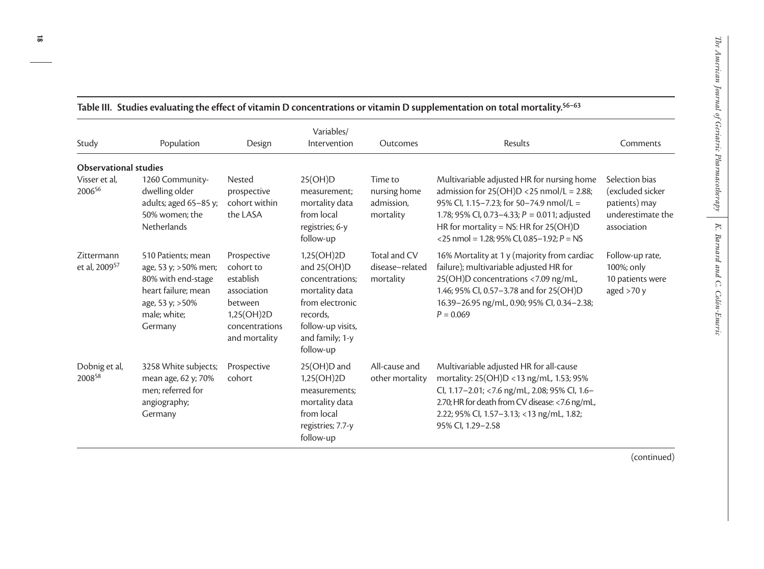| Study                                   | Population                                                                                                                              | Design                                                                                                           | Variables/<br>Intervention                                                                                                                         | Outcomes                                           | Results                                                                                                                                                                                                                                                                            | Comments                                                                                |
|-----------------------------------------|-----------------------------------------------------------------------------------------------------------------------------------------|------------------------------------------------------------------------------------------------------------------|----------------------------------------------------------------------------------------------------------------------------------------------------|----------------------------------------------------|------------------------------------------------------------------------------------------------------------------------------------------------------------------------------------------------------------------------------------------------------------------------------------|-----------------------------------------------------------------------------------------|
| <b>Observational studies</b>            |                                                                                                                                         |                                                                                                                  |                                                                                                                                                    |                                                    |                                                                                                                                                                                                                                                                                    |                                                                                         |
| Visser et al,<br>200656                 | 1260 Community-<br>dwelling older<br>adults; aged 65-85 y;<br>50% women: the<br><b>Netherlands</b>                                      | Nested<br>prospective<br>cohort within<br>the LASA                                                               | 25(OH)D<br>measurement:<br>mortality data<br>from local<br>registries; 6-y<br>follow-up                                                            | Time to<br>nursing home<br>admission.<br>mortality | Multivariable adjusted HR for nursing home<br>admission for $25(OH)D < 25$ nmol/L = 2.88;<br>95% Cl, 1.15-7.23; for 50-74.9 nmol/L =<br>1.78; 95% CI, 0.73-4.33; $P = 0.011$ ; adjusted<br>HR for mortality = NS: HR for $25(OH)D$<br><25 nmol = 1.28; 95% CI, 0.85-1.92; $P = NS$ | Selection bias<br>(excluded sicker<br>patients) may<br>underestimate the<br>association |
| Zittermann<br>et al, 2009 <sup>57</sup> | 510 Patients; mean<br>age, 53 y; > 50% men;<br>80% with end-stage<br>heart failure; mean<br>age, 53 y; > 50%<br>male; white;<br>Germany | Prospective<br>cohort to<br>establish<br>association<br>between<br>1,25(OH)2D<br>concentrations<br>and mortality | 1,25(OH)2D<br>and 25(OH)D<br>concentrations;<br>mortality data<br>from electronic<br>records,<br>follow-up visits,<br>and family; 1-y<br>follow-up | Total and CV<br>disease-related<br>mortality       | 16% Mortality at 1 y (majority from cardiac<br>failure); multivariable adjusted HR for<br>25(OH)D concentrations <7.09 ng/mL,<br>1.46; 95% CI, 0.57-3.78 and for 25(OH)D<br>16.39-26.95 ng/mL, 0.90; 95% Cl, 0.34-2.38;<br>$P = 0.069$                                             | Follow-up rate,<br>100%; only<br>10 patients were<br>aged $>70 y$                       |
| Dobnig et al,<br>200858                 | 3258 White subjects;<br>mean age, 62 y; 70%<br>men; referred for<br>angiography;<br>Germany                                             | Prospective<br>cohort                                                                                            | $25(OH)D$ and<br>1,25(OH)2D<br>measurements;<br>mortality data<br>from local<br>registries; 7.7-y<br>follow-up                                     | All-cause and<br>other mortality                   | Multivariable adjusted HR for all-cause<br>mortality: 25(OH)D <13 ng/mL, 1.53; 95%<br>Cl, 1.17-2.01; <7.6 ng/mL, 2.08; 95% Cl, 1.6-<br>2.70; HR for death from CV disease: < 7.6 ng/mL,<br>2.22; 95% Cl, 1.57-3.13; <13 ng/mL, 1.82;<br>95% Cl, 1.29-2.58                          |                                                                                         |

**Table III.Studies evaluating the effect of vitamin D concentrations or vitamin D supplementation on total mortality.56–63**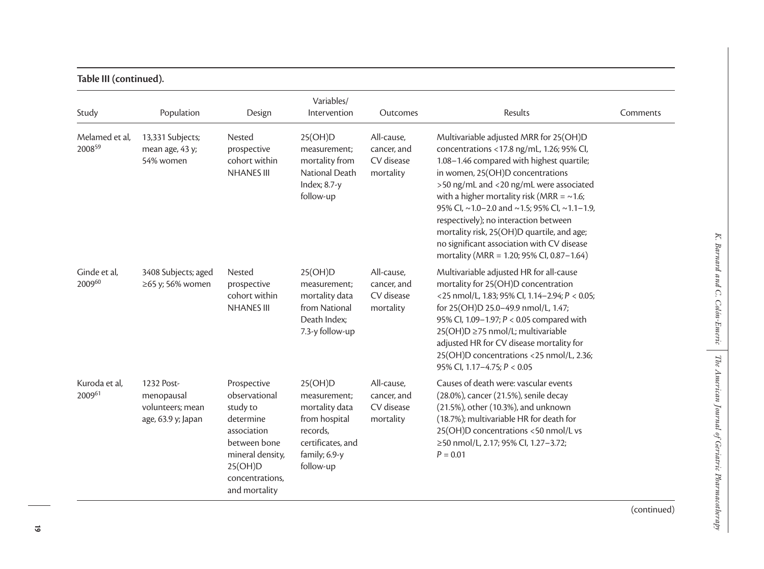| able III (continued). |  |
|-----------------------|--|
|                       |  |

| Study                    | Population                                                         | Design                                                                                                                                                  | Variables/<br>Intervention                                                                                                | Outcomes                                             | Results                                                                                                                                                                                                                                                                                                                                                                                                                                                                                              | Comments |
|--------------------------|--------------------------------------------------------------------|---------------------------------------------------------------------------------------------------------------------------------------------------------|---------------------------------------------------------------------------------------------------------------------------|------------------------------------------------------|------------------------------------------------------------------------------------------------------------------------------------------------------------------------------------------------------------------------------------------------------------------------------------------------------------------------------------------------------------------------------------------------------------------------------------------------------------------------------------------------------|----------|
| Melamed et al,<br>200859 | 13,331 Subjects;<br>mean age, 43 y;<br>54% women                   | Nested<br>prospective<br>cohort within<br><b>NHANES III</b>                                                                                             | 25(OH)D<br>measurement;<br>mortality from<br>National Death<br>Index; 8.7-y<br>follow-up                                  | All-cause,<br>cancer, and<br>CV disease<br>mortality | Multivariable adjusted MRR for 25(OH)D<br>concentrations <17.8 ng/mL, 1.26; 95% Cl,<br>1.08-1.46 compared with highest quartile;<br>in women, 25(OH)D concentrations<br>>50 ng/mL and <20 ng/mL were associated<br>with a higher mortality risk (MRR = $\sim$ 1.6;<br>95% Cl, ~1.0-2.0 and ~1.5; 95% Cl, ~1.1-1.9,<br>respectively); no interaction between<br>mortality risk, 25(OH)D quartile, and age;<br>no significant association with CV disease<br>mortality (MRR = 1.20; 95% CI, 0.87-1.64) |          |
| Ginde et al,<br>200960   | 3408 Subjects; aged<br>≥65 y; 56% women                            | Nested<br>prospective<br>cohort within<br><b>NHANES III</b>                                                                                             | 25(OH)D<br>measurement;<br>mortality data<br>from National<br>Death Index;<br>7.3-y follow-up                             | All-cause,<br>cancer, and<br>CV disease<br>mortality | Multivariable adjusted HR for all-cause<br>mortality for 25(OH)D concentration<br><25 nmol/L, 1.83; 95% CI, 1.14-2.94; P < 0.05;<br>for 25(OH)D 25.0-49.9 nmol/L, 1.47;<br>95% Cl, 1.09-1.97; P < 0.05 compared with<br>25(OH)D ≥75 nmol/L; multivariable<br>adjusted HR for CV disease mortality for<br>25(OH)D concentrations <25 nmol/L, 2.36;<br>95% Cl, 1.17-4.75; P < 0.05                                                                                                                     |          |
| Kuroda et al,<br>200961  | 1232 Post-<br>menopausal<br>volunteers; mean<br>age, 63.9 y; Japan | Prospective<br>observational<br>study to<br>determine<br>association<br>between bone<br>mineral density,<br>25(OH)D<br>concentrations,<br>and mortality | 25(OH)D<br>measurement;<br>mortality data<br>from hospital<br>records,<br>certificates, and<br>family; 6.9-y<br>follow-up | All-cause,<br>cancer, and<br>CV disease<br>mortality | Causes of death were: vascular events<br>(28.0%), cancer (21.5%), senile decay<br>(21.5%), other (10.3%), and unknown<br>(18.7%); multivariable HR for death for<br>25(OH)D concentrations <50 nmol/L vs<br>≥50 nmol/L, 2.17; 95% CI, 1.27-3.72;<br>$P = 0.01$                                                                                                                                                                                                                                       |          |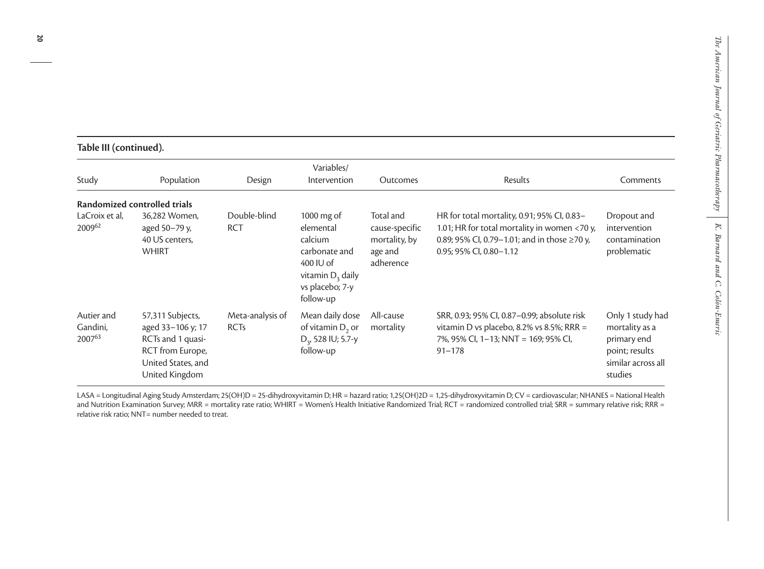|  | Table III (continued). |
|--|------------------------|
|--|------------------------|

| Study                            | Population                                                                                                             | Design                          | Variables/<br>Intervention                                                                                                | Outcomes                                                             | Results                                                                                                                                                                | Comments                                                                                             |
|----------------------------------|------------------------------------------------------------------------------------------------------------------------|---------------------------------|---------------------------------------------------------------------------------------------------------------------------|----------------------------------------------------------------------|------------------------------------------------------------------------------------------------------------------------------------------------------------------------|------------------------------------------------------------------------------------------------------|
|                                  | Randomized controlled trials                                                                                           |                                 |                                                                                                                           |                                                                      |                                                                                                                                                                        |                                                                                                      |
| LaCroix et al,<br>200962         | 36,282 Women,<br>aged 50-79 y,<br>40 US centers,<br><b>WHIRT</b>                                                       | Double-blind<br><b>RCT</b>      | 1000 $mg$ of<br>elemental<br>calcium<br>carbonate and<br>400 IU of<br>vitamin $D_3$ daily<br>vs placebo; 7-y<br>follow-up | Total and<br>cause-specific<br>mortality, by<br>age and<br>adherence | HR for total mortality, 0.91; 95% CI, 0.83-<br>1.01; HR for total mortality in women <70 y,<br>0.89; 95% CI, 0.79−1.01; and in those ≥70 y,<br>0.95; 95% CI, 0.80-1.12 | Dropout and<br>intervention<br>contamination<br>problematic                                          |
| Autier and<br>Gandini,<br>200763 | 57,311 Subjects,<br>aged 33-106 y; 17<br>RCTs and 1 quasi-<br>RCT from Europe,<br>United States, and<br>United Kingdom | Meta-analysis of<br><b>RCTs</b> | Mean daily dose<br>of vitamin $D_2$ or<br>$D_{3}$ , 528 IU; 5.7-y<br>follow-up                                            | All-cause<br>mortality                                               | SRR, 0.93; 95% CI, 0.87-0.99; absolute risk<br>vitamin D vs placebo, 8.2% vs 8.5%; RRR =<br>7%, 95% CI, 1-13; NNT = 169; 95% CI,<br>$91 - 178$                         | Only 1 study had<br>mortality as a<br>primary end<br>point; results<br>similar across all<br>studies |

LASA = Longitudinal Aging Study Amsterdam; 25(OH)D = 25-dihydroxyvitamin D; HR = hazard ratio; 1,25(OH)2D = 1,25-dihydroxyvitamin D; CV = cardiovascular; NHANES = National Health and Nutrition Examination Survey; MRR = mortality rate ratio; WHIRT = Women's Health Initiative Randomized Trial; RCT = randomized controlled trial; SRR = summary relative risk; RRR = relative risk ratio; NNT= number needed to treat.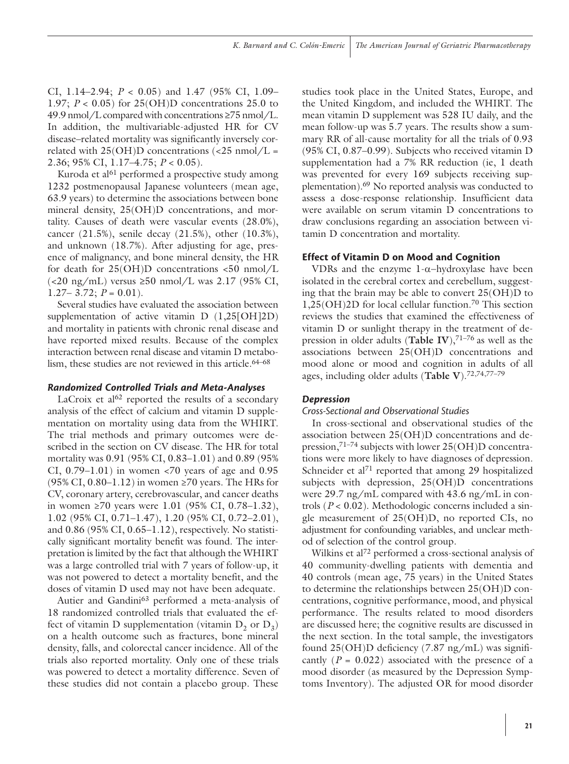CI, 1.14–2.94; *P* < 0.05) and 1.47 (95% CI, 1.09– 1.97; *P* < 0.05) for 25(OH)D concentrations 25.0 to 49.9 nmol/L compared with concentrations ≥75 nmol/L. In addition, the multivariable-adjusted HR for CV disease–related mortality was significantly inversely correlated with  $25(OH)D$  concentrations (<25 nmol/L = 2.36; 95% CI, 1.17–4.75; *P* < 0.05).

Kuroda et al<sup>61</sup> performed a prospective study among 1232 postmenopausal Japanese volunteers (mean age, 63.9 years) to determine the associations between bone mineral density, 25(OH)D concentrations, and mortality. Causes of death were vascular events (28.0%), cancer (21.5%), senile decay (21.5%), other (10.3%), and unknown (18.7%). After adjusting for age, presence of malignancy, and bone mineral density, the HR for death for 25(OH)D concentrations <50 nmol/L (<20 ng/mL) versus ≥50 nmol/L was 2.17 (95% CI,  $1.27 - 3.72$ ;  $P = 0.01$ ).

Several studies have evaluated the association between supplementation of active vitamin D (1,25[OH]2D) and mortality in patients with chronic renal disease and have reported mixed results. Because of the complex interaction between renal disease and vitamin D metabolism, these studies are not reviewed in this article.<sup>64–68</sup>

# *Randomized Controlled Trials and Meta-Analyses*

LaCroix et  $al^{62}$  reported the results of a secondary analysis of the effect of calcium and vitamin D supplementation on mortality using data from the WHIRT. The trial methods and primary outcomes were described in the section on CV disease. The HR for total mortality was 0.91 (95% CI, 0.83–1.01) and 0.89 (95% CI,  $0.79-1.01$ ) in women <70 years of age and 0.95  $(95\% \text{ CI}, 0.80-1.12)$  in women ≥70 years. The HRs for CV, coronary artery, cerebrovascular, and cancer deaths in women ≥70 years were 1.01 (95% CI, 0.78–1.32), 1.02 (95% CI, 0.71–1.47), 1.20 (95% CI, 0.72–2.01), and 0.86 (95% CI, 0.65–1.12), respectively. No statistically significant mortality benefit was found. The interpretation is limited by the fact that although the WHIRT was a large controlled trial with 7 years of follow-up, it was not powered to detect a mortality benefit, and the doses of vitamin D used may not have been adequate.

Autier and Gandini<sup>63</sup> performed a meta-analysis of 18 randomized controlled trials that evaluated the effect of vitamin D supplementation (vitamin  $D_2$  or  $D_3$ ) on a health outcome such as fractures, bone mineral density, falls, and colorectal cancer incidence. All of the trials also reported mortality. Only one of these trials was powered to detect a mortality difference. Seven of these studies did not contain a placebo group. These

studies took place in the United States, Europe, and the United Kingdom, and included the WHIRT. The mean vitamin D supplement was 528 IU daily, and the mean follow-up was 5.7 years. The results show a summary RR of all-cause mortality for all the trials of 0.93 (95% CI, 0.87–0.99). Subjects who received vitamin D supplementation had a 7% RR reduction (ie, 1 death was prevented for every 169 subjects receiving supplementation).69 No reported analysis was conducted to assess a dose-response relationship. Insufficient data were available on serum vitamin D concentrations to draw conclusions regarding an association between vitamin D concentration and mortality.

### **Effect of Vitamin D on Mood and Cognition**

VDRs and the enzyme 1-α−hydroxylase have been isolated in the cerebral cortex and cerebellum, suggesting that the brain may be able to convert 25(OH)D to 1,25(OH)2D for local cellular function.70 This section reviews the studies that examined the effectiveness of vitamin D or sunlight therapy in the treatment of depression in older adults (**Table IV**),<sup>71-76</sup> as well as the associations between 25(OH)D concentrations and mood alone or mood and cognition in adults of all ages, including older adults (**Table V**).72,74,77–79

# *Depression*

#### *Cross-Sectional and Observational Studies*

In cross-sectional and observational studies of the association between 25(OH)D concentrations and depression,71–74 subjects with lower 25(OH)D concentrations were more likely to have diagnoses of depression. Schneider et al<sup>71</sup> reported that among 29 hospitalized subjects with depression, 25(OH)D concentrations were 29.7 ng/mL compared with 43.6 ng/mL in controls (*P* < 0.02). Methodologic concerns included a single measurement of 25(OH)D, no reported CIs, no adjustment for confounding variables, and unclear method of selection of the control group.

Wilkins et al<sup>72</sup> performed a cross-sectional analysis of 40 community-dwelling patients with dementia and 40 controls (mean age, 75 years) in the United States to determine the relationships between 25(OH)D concentrations, cognitive performance, mood, and physical performance. The results related to mood disorders are discussed here; the cognitive results are discussed in the next section. In the total sample, the investigators found  $25(OH)D$  deficiency (7.87 ng/mL) was significantly  $(P = 0.022)$  associated with the presence of a mood disorder (as measured by the Depression Symptoms Inventory). The adjusted OR for mood disorder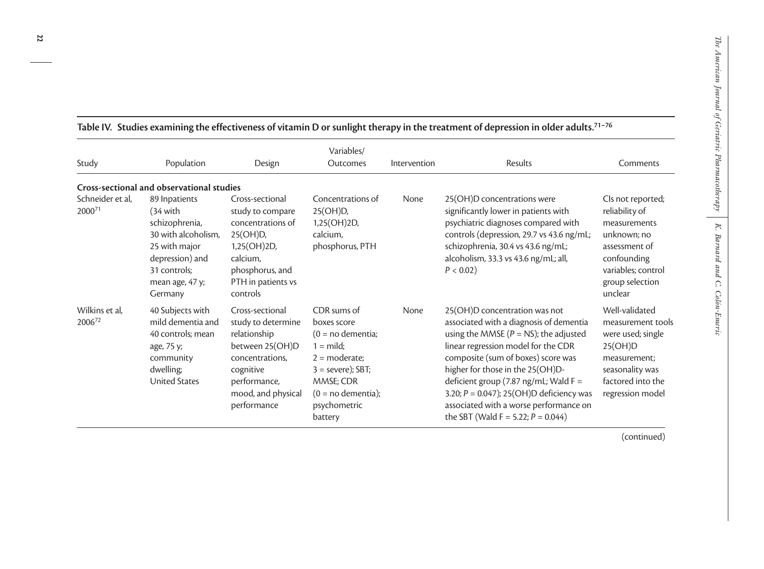| Study                                  | Population                                                                                                                                                     | Design                                                                                                                                                        | Variables/<br>Outcomes                                                                                                                                                             | Intervention | Results                                                                                                                                                                                                                                                                                                                                                                                                           | Comments                                                                                                                                               |
|----------------------------------------|----------------------------------------------------------------------------------------------------------------------------------------------------------------|---------------------------------------------------------------------------------------------------------------------------------------------------------------|------------------------------------------------------------------------------------------------------------------------------------------------------------------------------------|--------------|-------------------------------------------------------------------------------------------------------------------------------------------------------------------------------------------------------------------------------------------------------------------------------------------------------------------------------------------------------------------------------------------------------------------|--------------------------------------------------------------------------------------------------------------------------------------------------------|
|                                        | Cross-sectional and observational studies                                                                                                                      |                                                                                                                                                               |                                                                                                                                                                                    |              |                                                                                                                                                                                                                                                                                                                                                                                                                   |                                                                                                                                                        |
| Schneider et al,<br>2000 <sup>71</sup> | 89 Inpatients<br>$(34 \text{ with}$<br>schizophrenia,<br>30 with alcoholism,<br>25 with major<br>depression) and<br>31 controls:<br>mean age, 47 y;<br>Germany | Cross-sectional<br>study to compare<br>concentrations of<br>$25(OH)D$ ,<br>1,25(OH)2D,<br>calcium,<br>phosphorus, and<br>PTH in patients vs<br>controls       | Concentrations of<br>25(OH)D,<br>1,25(OH)2D,<br>calcium,<br>phosphorus, PTH                                                                                                        | None         | 25(OH)D concentrations were<br>significantly lower in patients with<br>psychiatric diagnoses compared with<br>controls (depression, 29.7 vs 43.6 ng/mL;<br>schizophrenia, 30.4 vs 43.6 ng/mL;<br>alcoholism, 33.3 vs 43.6 ng/mL; all,<br>$P < 0.02$ )                                                                                                                                                             | Cls not reported;<br>reliability of<br>measurements<br>unknown; no<br>assessment of<br>confounding<br>variables; control<br>group selection<br>unclear |
| Wilkins et al,<br>200672               | 40 Subjects with<br>mild dementia and<br>40 controls; mean<br>age, 75 y;<br>community<br>dwelling;<br><b>United States</b>                                     | Cross-sectional<br>study to determine<br>relationship<br>between 25(OH)D<br>concentrations.<br>cognitive<br>performance,<br>mood, and physical<br>performance | CDR sums of<br>boxes score<br>$(0 = no$ dementia;<br>$1 = \text{mild}$ ;<br>$2 = moderate;$<br>$3 =$ severe); SBT;<br>MMSE; CDR<br>$(0 = no$ dementia);<br>psychometric<br>battery | None         | 25(OH)D concentration was not<br>associated with a diagnosis of dementia<br>using the MMSE ( $P = NS$ ); the adjusted<br>linear regression model for the CDR<br>composite (sum of boxes) score was<br>higher for those in the 25(OH)D-<br>deficient group (7.87 ng/mL; Wald F =<br>3.20; $P = 0.047$ ); 25(OH)D deficiency was<br>associated with a worse performance on<br>the SBT (Wald F = 5.22; $P = 0.044$ ) | Well-validated<br>measurement tools<br>were used; single<br>25(OH)D<br>measurement:<br>seasonality was<br>factored into the<br>regression model        |

# **Table IV. Studies examining the effectiveness of vitamin D or sunlight therapy in the treatment of depression in older adults.71–76**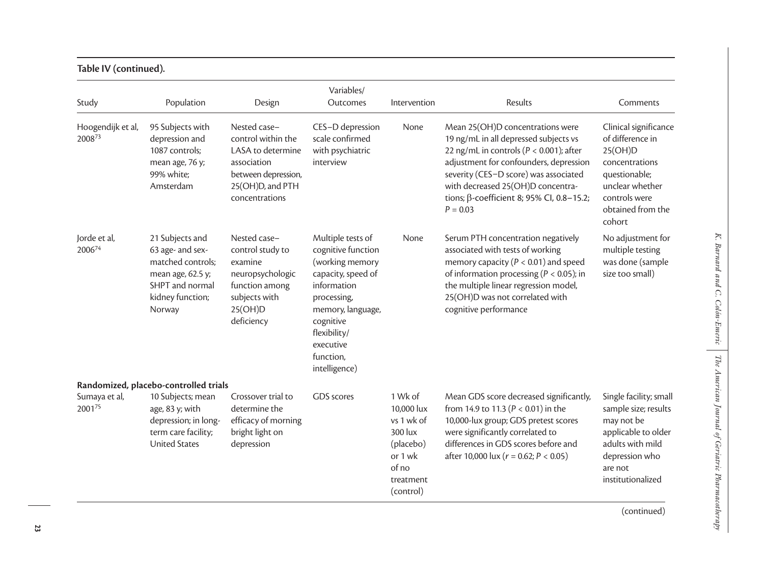| Study                       | Population                                                                                                                     | Design                                                                                                                              | Variables/<br>Outcomes                                                                                                                                                                                      | Intervention                                                                                              | Results                                                                                                                                                                                                                                                                                                     | Comments                                                                                                                                                   |
|-----------------------------|--------------------------------------------------------------------------------------------------------------------------------|-------------------------------------------------------------------------------------------------------------------------------------|-------------------------------------------------------------------------------------------------------------------------------------------------------------------------------------------------------------|-----------------------------------------------------------------------------------------------------------|-------------------------------------------------------------------------------------------------------------------------------------------------------------------------------------------------------------------------------------------------------------------------------------------------------------|------------------------------------------------------------------------------------------------------------------------------------------------------------|
| Hoogendijk et al,<br>200873 | 95 Subjects with<br>depression and<br>1087 controls;<br>mean age, 76 y;<br>99% white;<br>Amsterdam                             | Nested case-<br>control within the<br>LASA to determine<br>association<br>between depression,<br>25(OH)D, and PTH<br>concentrations | CES-D depression<br>scale confirmed<br>with psychiatric<br>interview                                                                                                                                        | None                                                                                                      | Mean 25(OH)D concentrations were<br>19 ng/mL in all depressed subjects vs<br>22 ng/mL in controls ( $P < 0.001$ ); after<br>adjustment for confounders, depression<br>severity (CES-D score) was associated<br>with decreased 25(OH)D concentra-<br>tions; β-coefficient 8; 95% Cl, 0.8-15.2;<br>$P = 0.03$ | Clinical significance<br>of difference in<br>25(OH)D<br>concentrations<br>questionable;<br>unclear whether<br>controls were<br>obtained from the<br>cohort |
| Jorde et al,<br>200674      | 21 Subjects and<br>63 age- and sex-<br>matched controls;<br>mean age, 62.5 y;<br>SHPT and normal<br>kidney function;<br>Norway | Nested case-<br>control study to<br>examine<br>neuropsychologic<br>function among<br>subjects with<br>25(OH)D<br>deficiency         | Multiple tests of<br>cognitive function<br>(working memory<br>capacity, speed of<br>information<br>processing,<br>memory, language,<br>cognitive<br>flexibility/<br>executive<br>function,<br>intelligence) | None                                                                                                      | Serum PTH concentration negatively<br>associated with tests of working<br>memory capacity ( $P < 0.01$ ) and speed<br>of information processing ( $P < 0.05$ ); in<br>the multiple linear regression model,<br>25(OH)D was not correlated with<br>cognitive performance                                     | No adjustment for<br>multiple testing<br>was done (sample<br>size too small)                                                                               |
|                             | Randomized, placebo-controlled trials                                                                                          |                                                                                                                                     |                                                                                                                                                                                                             |                                                                                                           |                                                                                                                                                                                                                                                                                                             |                                                                                                                                                            |
| Sumaya et al,<br>200175     | 10 Subjects; mean<br>age, 83 y; with<br>depression; in long-<br>term care facility;<br><b>United States</b>                    | Crossover trial to<br>determine the<br>efficacy of morning<br>bright light on<br>depression                                         | <b>GDS</b> scores                                                                                                                                                                                           | 1 Wk of<br>10,000 lux<br>vs 1 wk of<br>300 lux<br>(placebo)<br>or 1 wk<br>of no<br>treatment<br>(control) | Mean GDS score decreased significantly,<br>from 14.9 to 11.3 ( $P < 0.01$ ) in the<br>10,000-lux group; GDS pretest scores<br>were significantly correlated to<br>differences in GDS scores before and<br>after 10,000 lux ( $r = 0.62$ ; $P < 0.05$ )                                                      | Single facility; small<br>sample size; results<br>may not be<br>applicable to older<br>adults with mild<br>depression who<br>are not<br>institutionalized  |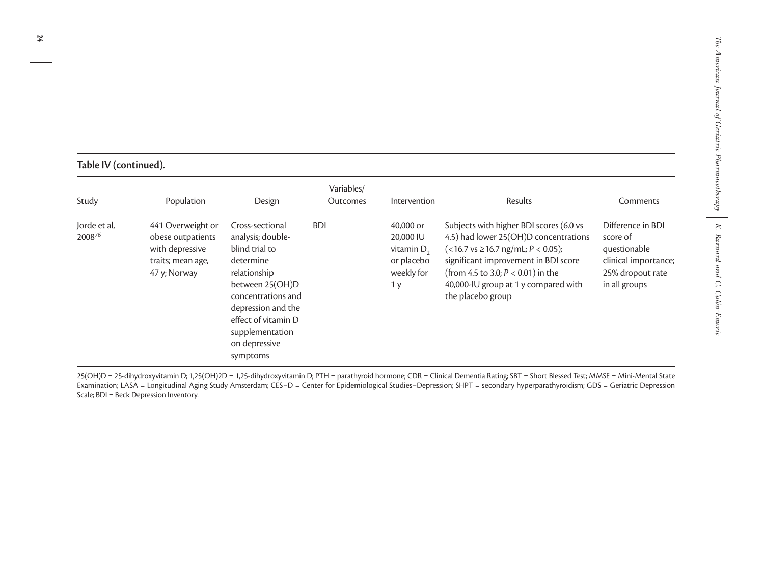# **Table IV (continued).**

| Study                  | Population                                                                                     | Design                                                                                                                                                                                                                    | Variables/<br>Outcomes | Intervention                                                                          | Results                                                                                                                                                                                                                                                                     | Comments                                                                                                   |
|------------------------|------------------------------------------------------------------------------------------------|---------------------------------------------------------------------------------------------------------------------------------------------------------------------------------------------------------------------------|------------------------|---------------------------------------------------------------------------------------|-----------------------------------------------------------------------------------------------------------------------------------------------------------------------------------------------------------------------------------------------------------------------------|------------------------------------------------------------------------------------------------------------|
| Jorde et al,<br>200876 | 441 Overweight or<br>obese outpatients<br>with depressive<br>traits; mean age,<br>47 y; Norway | Cross-sectional<br>analysis; double-<br>blind trial to<br>determine<br>relationship<br>between 25(OH)D<br>concentrations and<br>depression and the<br>effect of vitamin D<br>supplementation<br>on depressive<br>symptoms | <b>BDI</b>             | 40,000 or<br>20,000 IU<br>vitamin $D_2$<br>or placebo<br>weekly for<br>1 <sub>y</sub> | Subjects with higher BDI scores (6.0 vs<br>4.5) had lower 25(OH)D concentrations<br>$(<16.7$ vs $\geq$ 16.7 ng/mL; P < 0.05);<br>significant improvement in BDI score<br>(from 4.5 to 3.0; $P < 0.01$ ) in the<br>40,000-IU group at 1 y compared with<br>the placebo group | Difference in BDI<br>score of<br>questionable<br>clinical importance;<br>25% dropout rate<br>in all groups |

25(OH)D = 25-dihydroxyvitamin D; 1,25(OH)2D = 1,25-dihydroxyvitamin D; PTH = parathyroid hormone; CDR = Clinical Dementia Rating; SBT = Short Blessed Test; MMSE = Mini-Mental State Examination; LASA = Longitudinal Aging Study Amsterdam; CES–D = Center for Epidemiological Studies–Depression; SHPT = secondary hyperparathyroidism; GDS = Geriatric Depression Scale; BDI = Beck Depression Inventory.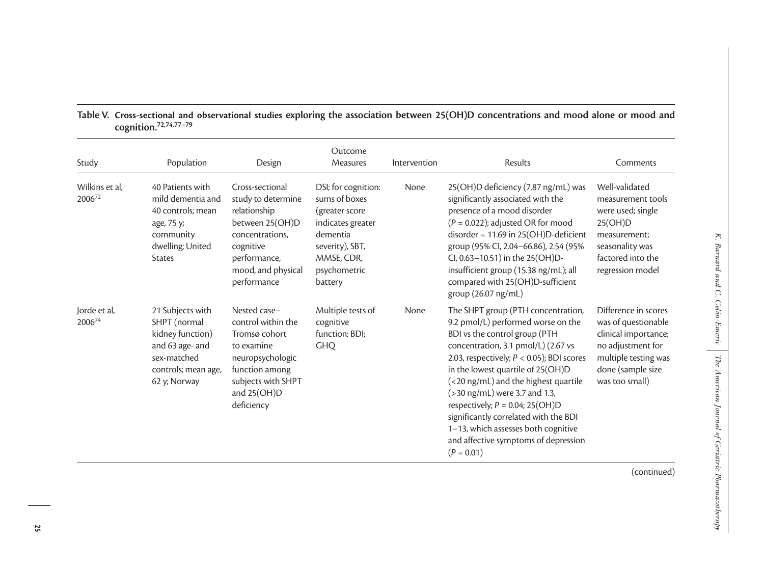| Study                    | Population                                                                                                                    | Design                                                                                                                                                        | Outcome<br>Measures                                                                                                                                 | Intervention | Results                                                                                                                                                                                                                                                                                                                                                                                                                                                                                          | Comments                                                                                                                                                |
|--------------------------|-------------------------------------------------------------------------------------------------------------------------------|---------------------------------------------------------------------------------------------------------------------------------------------------------------|-----------------------------------------------------------------------------------------------------------------------------------------------------|--------------|--------------------------------------------------------------------------------------------------------------------------------------------------------------------------------------------------------------------------------------------------------------------------------------------------------------------------------------------------------------------------------------------------------------------------------------------------------------------------------------------------|---------------------------------------------------------------------------------------------------------------------------------------------------------|
| Wilkins et al,<br>200672 | 40 Patients with<br>mild dementia and<br>40 controls; mean<br>age, 75 y;<br>community<br>dwelling; United<br><b>States</b>    | Cross-sectional<br>study to determine<br>relationship<br>between 25(OH)D<br>concentrations,<br>cognitive<br>performance,<br>mood, and physical<br>performance | DSI; for cognition:<br>sums of boxes<br>(greater score<br>indicates greater<br>dementia<br>severity), SBT,<br>MMSE, CDR,<br>psychometric<br>battery | None         | 25(OH)D deficiency (7.87 ng/mL) was<br>significantly associated with the<br>presence of a mood disorder<br>$(P = 0.022)$ ; adjusted OR for mood<br>$disorder = 11.69$ in 25(OH)D-deficient<br>group (95% Cl, 2.04-66.86), 2.54 (95%<br>Cl, 0.63-10.51) in the 25(OH)D-<br>insufficient group (15.38 ng/mL); all<br>compared with 25(OH)D-sufficient<br>group (26.07 ng/mL)                                                                                                                       | Well-validated<br>measurement tools<br>were used; single<br>25(OH)D<br>measurement;<br>seasonality was<br>factored into the<br>regression model         |
| Jorde et al,<br>200674   | 21 Subjects with<br>SHPT (normal<br>kidney function)<br>and 63 age- and<br>sex-matched<br>controls; mean age,<br>62 y; Norway | Nested case-<br>control within the<br>Tromsø cohort<br>to examine<br>neuropsychologic<br>function among<br>subjects with SHPT<br>and 25(OH)D<br>deficiency    | Multiple tests of<br>cognitive<br>function; BDI;<br><b>GHQ</b>                                                                                      | None         | The SHPT group (PTH concentration,<br>9.2 pmol/L) performed worse on the<br>BDI vs the control group (PTH<br>concentration, 3.1 pmol/L) (2.67 vs<br>2.03, respectively; $P < 0.05$ ); BDI scores<br>in the lowest quartile of 25(OH)D<br>(<20 ng/mL) and the highest quartile<br>$($ > 30 ng/mL) were 3.7 and 1.3,<br>respectively; $P = 0.04$ ; 25(OH)D<br>significantly correlated with the BDI<br>1-13, which assesses both cognitive<br>and affective symptoms of depression<br>$(P = 0.01)$ | Difference in scores<br>was of questionable<br>clinical importance;<br>no adjustment for<br>multiple testing was<br>done (sample size<br>was too small) |
|                          |                                                                                                                               |                                                                                                                                                               |                                                                                                                                                     |              |                                                                                                                                                                                                                                                                                                                                                                                                                                                                                                  | (continued)                                                                                                                                             |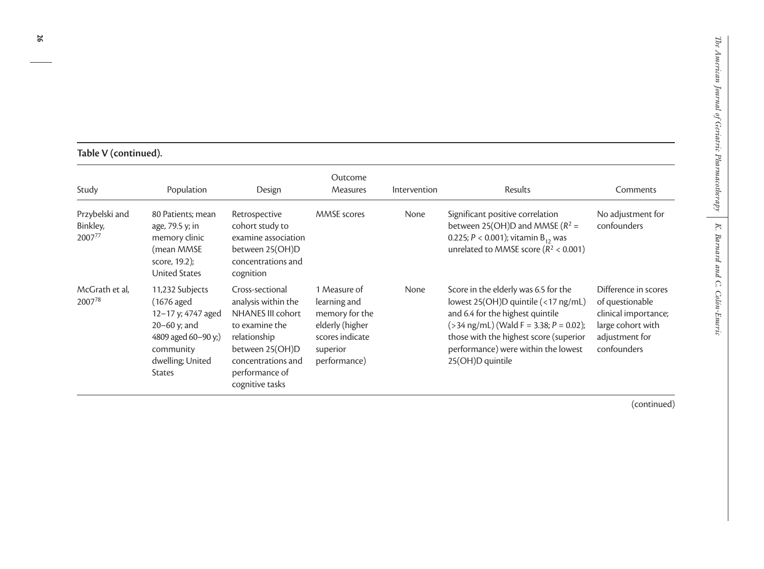# **Table V (continued).**

| Study                                | Population                                                                                                                                       | Design                                                                                                                                                                      | Outcome<br><b>Measures</b>                                                                                       | Intervention | Results                                                                                                                                                                                                                                                           | Comments                                                                                                              |
|--------------------------------------|--------------------------------------------------------------------------------------------------------------------------------------------------|-----------------------------------------------------------------------------------------------------------------------------------------------------------------------------|------------------------------------------------------------------------------------------------------------------|--------------|-------------------------------------------------------------------------------------------------------------------------------------------------------------------------------------------------------------------------------------------------------------------|-----------------------------------------------------------------------------------------------------------------------|
| Przybelski and<br>Binkley,<br>200777 | 80 Patients; mean<br>age, 79.5 y; in<br>memory clinic<br>(mean MMSE<br>score, 19.2);<br><b>United States</b>                                     | Retrospective<br>cohort study to<br>examine association<br>between 25(OH)D<br>concentrations and<br>cognition                                                               | <b>MMSE</b> scores                                                                                               | None         | Significant positive correlation<br>between 25(OH)D and MMSE ( $R^2$ =<br>0.225; $P < 0.001$ ); vitamin $B_{12}$ was<br>unrelated to MMSE score ( $R^2$ < 0.001)                                                                                                  | No adjustment for<br>confounders                                                                                      |
| McGrath et al,<br>200778             | 11,232 Subjects<br>(1676 aged<br>12-17 y; 4747 aged<br>$20 - 60$ y; and<br>4809 aged 60-90 y;)<br>community<br>dwelling; United<br><b>States</b> | Cross-sectional<br>analysis within the<br>NHANES III cohort<br>to examine the<br>relationship<br>between 25(OH)D<br>concentrations and<br>performance of<br>cognitive tasks | 1 Measure of<br>learning and<br>memory for the<br>elderly (higher<br>scores indicate<br>superior<br>performance) | None         | Score in the elderly was 6.5 for the<br>lowest 25(OH)D quintile (<17 ng/mL)<br>and 6.4 for the highest quintile<br>$($ >34 ng/mL) (Wald F = 3.38; P = 0.02);<br>those with the highest score (superior<br>performance) were within the lowest<br>25(OH)D quintile | Difference in scores<br>of questionable<br>clinical importance;<br>large cohort with<br>adjustment for<br>confounders |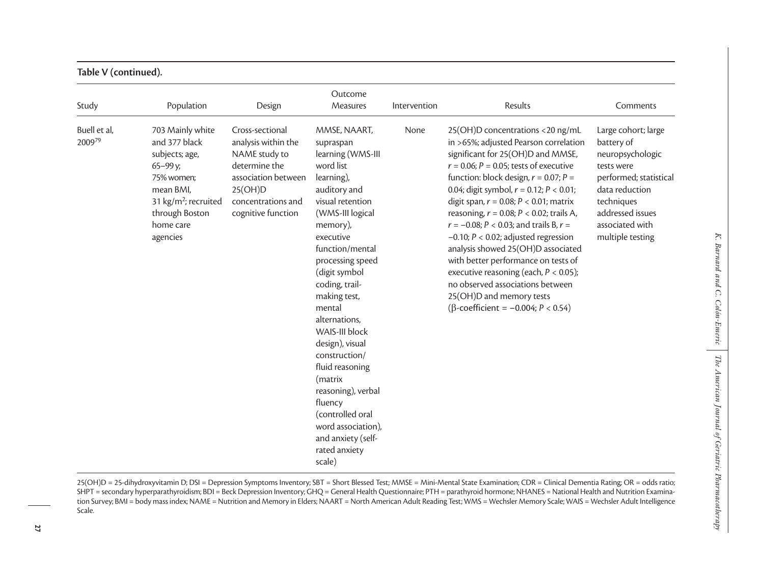| Study                  | Population                                                                                                                                                                | Design                                                                                                                                                 | Outcome<br>Measures                                                                                                                                                                                                                                                                                                                                                                                                                                                                             | Intervention | Results                                                                                                                                                                                                                                                                                                                                                                                                                                                                                                                                                                                                                                                                                             | Comments                                                                                                                                                                                 |
|------------------------|---------------------------------------------------------------------------------------------------------------------------------------------------------------------------|--------------------------------------------------------------------------------------------------------------------------------------------------------|-------------------------------------------------------------------------------------------------------------------------------------------------------------------------------------------------------------------------------------------------------------------------------------------------------------------------------------------------------------------------------------------------------------------------------------------------------------------------------------------------|--------------|-----------------------------------------------------------------------------------------------------------------------------------------------------------------------------------------------------------------------------------------------------------------------------------------------------------------------------------------------------------------------------------------------------------------------------------------------------------------------------------------------------------------------------------------------------------------------------------------------------------------------------------------------------------------------------------------------------|------------------------------------------------------------------------------------------------------------------------------------------------------------------------------------------|
| Buell et al,<br>200979 | 703 Mainly white<br>and 377 black<br>subjects; age,<br>65-99 y;<br>75% women:<br>mean BMI.<br>31 kg/m <sup>2</sup> ; recruited<br>through Boston<br>home care<br>agencies | Cross-sectional<br>analysis within the<br>NAME study to<br>determine the<br>association between<br>25(OH)D<br>concentrations and<br>cognitive function | MMSE, NAART,<br>supraspan<br>learning (WMS-III<br>word list<br>learning),<br>auditory and<br>visual retention<br>(WMS-III logical<br>memory),<br>executive<br>function/mental<br>processing speed<br>(digit symbol<br>coding, trail-<br>making test,<br>mental<br>alternations,<br>WAIS-III block<br>design), visual<br>construction/<br>fluid reasoning<br>(matrix<br>reasoning), verbal<br>fluency<br>(controlled oral<br>word association),<br>and anxiety (self-<br>rated anxiety<br>scale) | None         | 25(OH)D concentrations <20 ng/mL<br>in >65%; adjusted Pearson correlation<br>significant for 25(OH)D and MMSE,<br>$r = 0.06; P = 0.05$ ; tests of executive<br>function: block design, $r = 0.07$ ; $P =$<br>0.04; digit symbol, $r = 0.12$ ; $P < 0.01$ ;<br>digit span, $r = 0.08$ ; $P < 0.01$ ; matrix<br>reasoning, $r = 0.08$ ; $P < 0.02$ ; trails A,<br>$r = -0.08; P < 0.03$ ; and trails B, $r =$<br>$-0.10$ ; $P < 0.02$ ; adjusted regression<br>analysis showed 25(OH)D associated<br>with better performance on tests of<br>executive reasoning (each, $P < 0.05$ );<br>no observed associations between<br>25(OH)D and memory tests<br>( $\beta$ -coefficient = -0.004; $P < 0.54$ ) | Large cohort; large<br>battery of<br>neuropsychologic<br>tests were<br>performed; statistical<br>data reduction<br>techniques<br>addressed issues<br>associated with<br>multiple testing |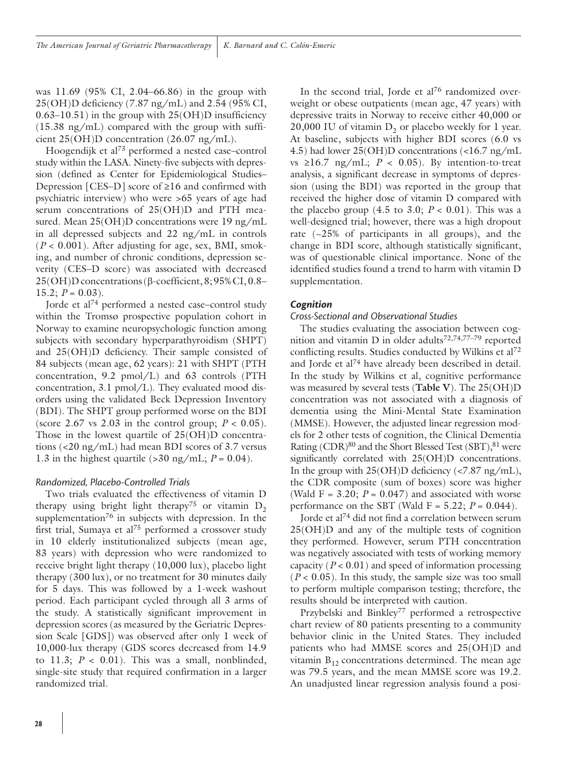was 11.69 (95% CI, 2.04–66.86) in the group with 25(OH)D deficiency (7.87 ng/mL) and 2.54 (95% CI,  $0.63-10.51$ ) in the group with  $25(OH)D$  insufficiency (15.38 ng/mL) compared with the group with sufficient 25(OH)D concentration (26.07 ng/mL).

Hoogendijk et al73 performed a nested case–control study within the LASA. Ninety-five subjects with depression (defined as Center for Epidemiological Studies– Depression [CES–D] score of ≥16 and confirmed with psychiatric interview) who were >65 years of age had serum concentrations of 25(OH)D and PTH measured. Mean 25(OH)D concentrations were 19 ng/mL in all depressed subjects and 22 ng/mL in controls  $(P < 0.001)$ . After adjusting for age, sex, BMI, smoking, and number of chronic conditions, depression severity (CES–D score) was associated with decreased 25(OH)D concentrations (β-coefficient, 8; 95% CI, 0.8– 15.2;  $P = 0.03$ ).

Jorde et al74 performed a nested case–control study within the Tromsø prospective population cohort in Norway to examine neuropsychologic function among subjects with secondary hyperparathyroidism (SHPT) and 25(OH)D deficiency. Their sample consisted of 84 subjects (mean age, 62 years): 21 with SHPT (PTH concentration, 9.2 pmol/L) and 63 controls (PTH concentration, 3.1 pmol/L). They evaluated mood disorders using the validated Beck Depression Inventory (BDI). The SHPT group performed worse on the BDI (score 2.67 vs 2.03 in the control group;  $P < 0.05$ ). Those in the lowest quartile of 25(OH)D concentrations (<20 ng/mL) had mean BDI scores of 3.7 versus 1.3 in the highest quartile  $(>30 \text{ ng/mL}; P = 0.04)$ .

#### *Randomized, Placebo-Controlled Trials*

Two trials evaluated the effectiveness of vitamin D therapy using bright light therapy<sup>75</sup> or vitamin  $D_2$ supplementation<sup>76</sup> in subjects with depression. In the first trial, Sumaya et al<sup>75</sup> performed a crossover study in 10 elderly institutionalized subjects (mean age, 83 years) with depression who were randomized to receive bright light therapy (10,000 lux), placebo light therapy (300 lux), or no treatment for 30 minutes daily for 5 days. This was followed by a 1-week washout period. Each participant cycled through all 3 arms of the study. A statistically significant improvement in depression scores (as measured by the Geriatric Depression Scale [GDS]) was observed after only 1 week of 10,000-lux therapy (GDS scores decreased from 14.9 to 11.3;  $P < 0.01$ ). This was a small, nonblinded, single-site study that required confirmation in a larger randomized trial.

In the second trial, Jorde et  $al^{76}$  randomized overweight or obese outpatients (mean age, 47 years) with depressive traits in Norway to receive either 40,000 or 20,000 IU of vitamin  $D_2$  or placebo weekly for 1 year. At baseline, subjects with higher BDI scores (6.0 vs 4.5) had lower 25(OH)D concentrations (<16.7 ng/mL vs  $\geq 16.7$  ng/mL;  $P < 0.05$ ). By intention-to-treat analysis, a significant decrease in symptoms of depression (using the BDI) was reported in the group that received the higher dose of vitamin D compared with the placebo group  $(4.5 \text{ to } 3.0; P < 0.01)$ . This was a well-designed trial; however, there was a high dropout rate  $(-25\% \text{ of participants in all groups})$ , and the change in BDI score, although statistically significant, was of questionable clinical importance. None of the identified studies found a trend to harm with vitamin D supplementation.

#### *Cognition*

#### *Cross-Sectional and Observational Studies*

The studies evaluating the association between cognition and vitamin D in older adults<sup>72,74,77-79</sup> reported conflicting results. Studies conducted by Wilkins et al72 and Jorde et al<sup>74</sup> have already been described in detail. In the study by Wilkins et al, cognitive performance was measured by several tests (**Table V**). The 25(OH)D concentration was not associated with a diagnosis of dementia using the Mini-Mental State Examination (MMSE). However, the adjusted linear regression models for 2 other tests of cognition, the Clinical Dementia Rating  $(CDR)^{80}$  and the Short Blessed Test  $(SBT)$ ,  ${}^{81}$  were significantly correlated with 25(OH)D concentrations. In the group with  $25(OH)D$  deficiency (<7.87 ng/mL), the CDR composite (sum of boxes) score was higher (Wald F =  $3.20$ ;  $P = 0.047$ ) and associated with worse performance on the SBT (Wald  $F = 5.22$ ;  $P = 0.044$ ).

Jorde et al74 did not find a correlation between serum 25(OH)D and any of the multiple tests of cognition they performed. However, serum PTH concentration was negatively associated with tests of working memory capacity (*P* < 0.01) and speed of information processing  $(P < 0.05)$ . In this study, the sample size was too small to perform multiple comparison testing; therefore, the results should be interpreted with caution.

Przybelski and Binkley<sup>77</sup> performed a retrospective chart review of 80 patients presenting to a community behavior clinic in the United States. They included patients who had MMSE scores and 25(OH)D and vitamin  $B_{12}$  concentrations determined. The mean age was 79.5 years, and the mean MMSE score was 19.2. An unadjusted linear regression analysis found a posi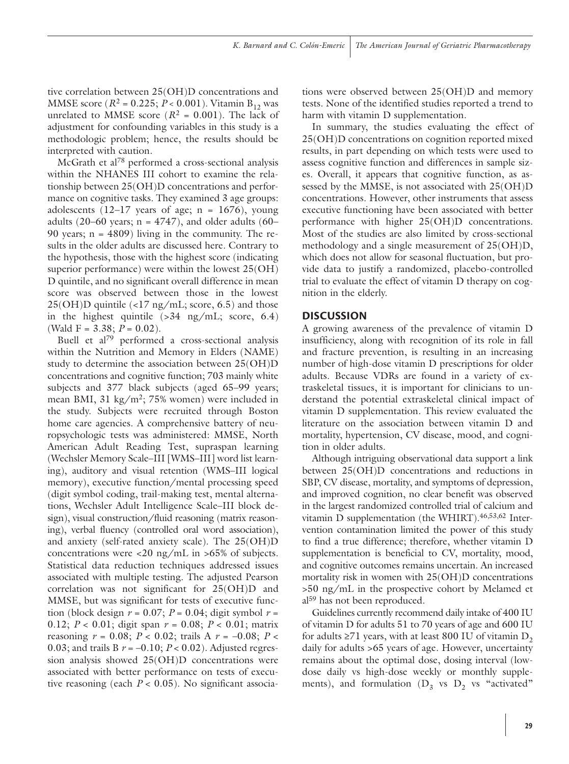tive correlation between 25(OH)D concentrations and MMSE score ( $R^2 = 0.225$ ;  $P < 0.001$ ). Vitamin B<sub>12</sub> was unrelated to MMSE score  $(R^2 = 0.001)$ . The lack of adjustment for confounding variables in this study is a methodologic problem; hence, the results should be interpreted with caution.

McGrath et al78 performed a cross-sectional analysis within the NHANES III cohort to examine the relationship between 25(OH)D concentrations and performance on cognitive tasks. They examined 3 age groups: adolescents  $(12-17 \text{ years of age}; n = 1676)$ , young adults (20–60 years;  $n = 4747$ ), and older adults (60– 90 years;  $n = 4809$ ) living in the community. The results in the older adults are discussed here. Contrary to the hypothesis, those with the highest score (indicating superior performance) were within the lowest 25(OH) D quintile, and no significant overall difference in mean score was observed between those in the lowest  $25(OH)D$  quintile  $\langle 17 \text{ ng/mL}$ ; score, 6.5) and those in the highest quintile  $(>34 \text{ ng/mL}; \text{score}, 6.4)$ (Wald F =  $3.38; P = 0.02$ ).

Buell et al79 performed a cross-sectional analysis within the Nutrition and Memory in Elders (NAME) study to determine the association between 25(OH)D concentrations and cognitive function; 703 mainly white subjects and 377 black subjects (aged 65–99 years; mean BMI, 31 kg/m2; 75% women) were included in the study. Subjects were recruited through Boston home care agencies. A comprehensive battery of neuropsychologic tests was administered: MMSE, North American Adult Reading Test, supraspan learning (Wechsler Memory Scale–III [WMS–III] word list learning), auditory and visual retention (WMS–III logical memory), executive function/mental processing speed (digit symbol coding, trail-making test, mental alternations, Wechsler Adult Intelligence Scale–III block design), visual construction/fluid reasoning (matrix reasoning), verbal fluency (controlled oral word association), and anxiety (self-rated anxiety scale). The 25(OH)D concentrations were  $\langle 20 \text{ ng/mL in } >65\%$  of subjects. Statistical data reduction techniques addressed issues associated with multiple testing. The adjusted Pearson correlation was not significant for 25(OH)D and MMSE, but was significant for tests of executive function (block design  $r = 0.07$ ;  $P = 0.04$ ; digit symbol  $r =$ 0.12; *P* < 0.01; digit span *r* = 0.08; *P* < 0.01; matrix reasoning *r* = 0.08; *P* < 0.02; trails A *r* = –0.08; *P* < 0.03; and trails B *r* = –0.10; *P* < 0.02). Adjusted regression analysis showed 25(OH)D concentrations were associated with better performance on tests of executive reasoning (each  $P < 0.05$ ). No significant associations were observed between 25(OH)D and memory tests. None of the identified studies reported a trend to harm with vitamin D supplementation.

In summary, the studies evaluating the effect of 25(OH)D concentrations on cognition reported mixed results, in part depending on which tests were used to assess cognitive function and differences in sample sizes. Overall, it appears that cognitive function, as assessed by the MMSE, is not associated with 25(OH)D concentrations. However, other instruments that assess executive functioning have been associated with better performance with higher 25(OH)D concentrations. Most of the studies are also limited by cross-sectional methodology and a single measurement of 25(OH)D, which does not allow for seasonal fluctuation, but provide data to justify a randomized, placebo-controlled trial to evaluate the effect of vitamin D therapy on cognition in the elderly.

# **DISCUSSION**

A growing awareness of the prevalence of vitamin D insufficiency, along with recognition of its role in fall and fracture prevention, is resulting in an increasing number of high-dose vitamin D prescriptions for older adults. Because VDRs are found in a variety of extraskeletal tissues, it is important for clinicians to understand the potential extraskeletal clinical impact of vitamin D supplementation. This review evaluated the literature on the association between vitamin D and mortality, hypertension, CV disease, mood, and cognition in older adults.

Although intriguing observational data support a link between 25(OH)D concentrations and reductions in SBP, CV disease, mortality, and symptoms of depression, and improved cognition, no clear benefit was observed in the largest randomized controlled trial of calcium and vitamin D supplementation (the WHIRT).46,53,62 Intervention contamination limited the power of this study to find a true difference; therefore, whether vitamin D supplementation is beneficial to CV, mortality, mood, and cognitive outcomes remains uncertain. An increased mortality risk in women with 25(OH)D concentrations >50 ng/mL in the prospective cohort by Melamed et al<sup>59</sup> has not been reproduced.

Guidelines currently recommend daily intake of 400 IU of vitamin D for adults 51 to 70 years of age and 600 IU for adults  $\geq$ 71 years, with at least 800 IU of vitamin D<sub>2</sub> daily for adults >65 years of age. However, uncertainty remains about the optimal dose, dosing interval (lowdose daily vs high-dose weekly or monthly supplements), and formulation  $(D_3$  vs  $D_2$  vs "activated"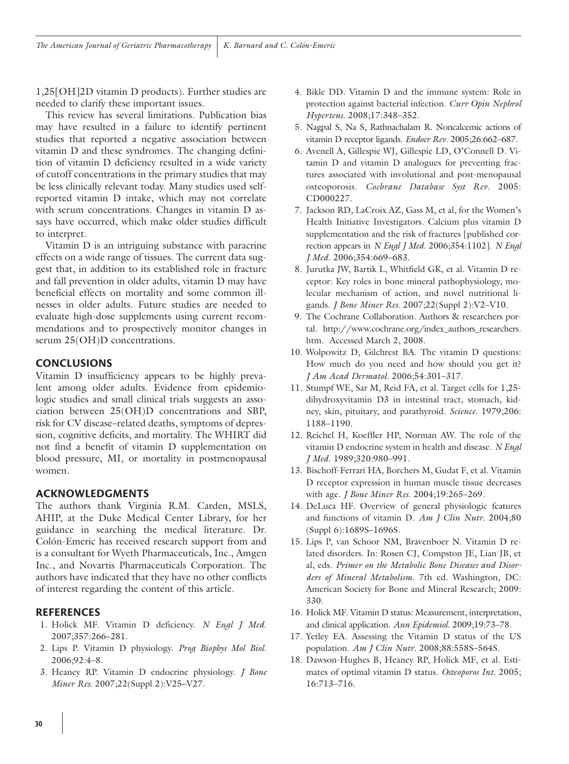1,25[OH]2D vitamin D products). Further studies are needed to clarify these important issues.

This review has several limitations. Publication bias may have resulted in a failure to identify pertinent studies that reported a negative association between vitamin D and these syndromes. The changing definition of vitamin D deficiency resulted in a wide variety of cutoff concentrations in the primary studies that may be less clinically relevant today. Many studies used selfreported vitamin D intake, which may not correlate with serum concentrations. Changes in vitamin D assays have occurred, which make older studies difficult to interpret.

Vitamin D is an intriguing substance with paracrine effects on a wide range of tissues. The current data suggest that, in addition to its established role in fracture and fall prevention in older adults, vitamin D may have beneficial effects on mortality and some common illnesses in older adults. Future studies are needed to evaluate high-dose supplements using current recommendations and to prospectively monitor changes in serum 25(OH)D concentrations.

# **CONCLUSIONS**

Vitamin D insufficiency appears to be highly prevalent among older adults. Evidence from epidemiologic studies and small clinical trials suggests an association between 25(OH)D concentrations and SBP, risk for CV disease–related deaths, symptoms of depression, cognitive deficits, and mortality. The WHIRT did not find a benefit of vitamin D supplementation on blood pressure, MI, or mortality in postmenopausal women.

### **ACkNOwLEDgMENTS**

The authors thank Virginia R.M. Carden, MSLS, AHIP, at the Duke Medical Center Library, for her guidance in searching the medical literature. Dr. Colón-Emeric has received research support from and is a consultant for Wyeth Pharmaceuticals, Inc., Amgen Inc., and Novartis Pharmaceuticals Corporation. The authors have indicated that they have no other conflicts of interest regarding the content of this article.

# **REfERENCES**

- 1. Holick MF. Vitamin D deficiency. *N Engl J Med*. 2007;357:266–281.
- 2. Lips P. Vitamin D physiology. *Prog Biophys Mol Biol*. 2006;92:4–8.
- 3. Heaney RP. Vitamin D endocrine physiology. *J Bone Miner Res*. 2007;22(Suppl 2):V25–V27.
- 4. Bikle DD. Vitamin D and the immune system: Role in protection against bacterial infection. *Curr Opin Nephrol Hypertens*. 2008;17:348–352.
- 5. Nagpal S, Na S, Rathnachalam R. Noncalcemic actions of vitamin D receptor ligands. *Endocr Rev*. 2005;26:662–687.
- 6. Avenell A, Gillespie WJ, Gillespie LD, O'Connell D. Vitamin D and vitamin D analogues for preventing fractures associated with involutional and post-menopausal osteoporosis. *Cochrane Database Syst Rev*. 2005: CD000227.
- 7. Jackson RD, LaCroix AZ, Gass M, et al, for the Women's Health Initiative Investigators. Calcium plus vitamin D supplementation and the risk of fractures [published correction appears in *N Engl J Med*. 2006;354:1102]. *N Engl J Med*. 2006;354:669–683.
- 8. Jurutka JW, Bartik L, Whitfield GK, et al. Vitamin D receptor: Key roles in bone mineral pathophysiology, molecular mechanism of action, and novel nutritional ligands. *J Bone Miner Res*. 2007;22(Suppl 2):V2–V10.
- 9. The Cochrane Collaboration. Authors & researchers portal. http://www.cochrane.org/index\_authors\_researchers. htm. Accessed March 2, 2008.
- 10. Wolpowitz D, Gilchrest BA. The vitamin D questions: How much do you need and how should you get it? *J Am Acad Dermatol*. 2006;54:301–317.
- 11. Stumpf WE, Sar M, Reid FA, et al. Target cells for 1,25 dihydroxyvitamin D3 in intestinal tract, stomach, kidney, skin, pituitary, and parathyroid. *Science*. 1979;206: 1188–1190.
- 12. Reichel H, Koeffler HP, Norman AW. The role of the vitamin D endocrine system in health and disease. *N Engl J Med*. 1989;320:980–991.
- 13. Bischoff-Ferrari HA, Borchers M, Gudat F, et al. Vitamin D receptor expression in human muscle tissue decreases with age. *J Bone Miner Res*. 2004;19:265–269.
- 14. DeLuca HF. Overview of general physiologic features and functions of vitamin D. *Am J Clin Nutr*. 2004;80 (Suppl 6):1689S–1696S.
- 15. Lips P, van Schoor NM, Bravenboer N. Vitamin D related disorders. In: Rosen CJ, Compston JE, Lian JB, et al, eds. *Primer on the Metabolic Bone Diseases and Disorders of Mineral Metabolism*. 7th ed. Washington, DC: American Society for Bone and Mineral Research; 2009: 330.
- 16. Holick MF. Vitamin D status: Measurement, interpretation, and clinical application. *Ann Epidemiol*. 2009;19:73–78.
- 17. Yetley EA. Assessing the Vitamin D status of the US population. *Am J Clin Nutr*. 2008;88:558S–564S.
- 18. Dawson-Hughes B, Heaney RP, Holick MF, et al. Estimates of optimal vitamin D status. *Osteoporos Int*. 2005; 16:713–716.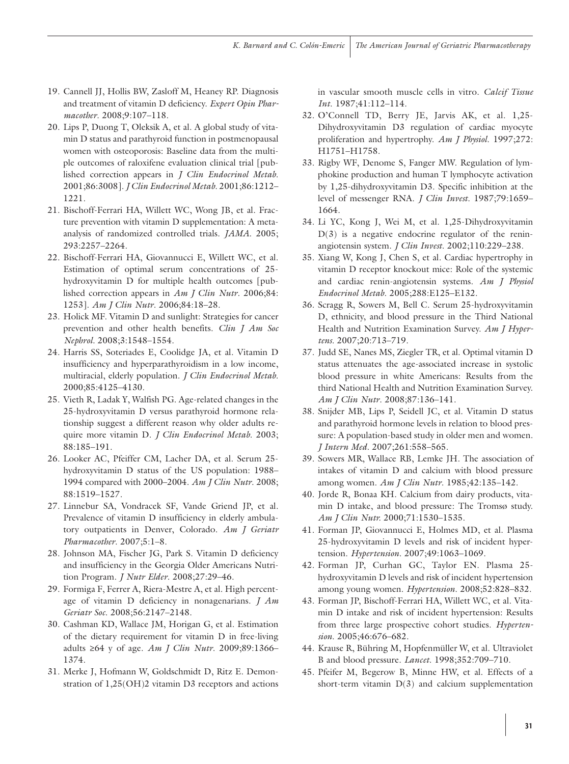- 19. Cannell JJ, Hollis BW, Zasloff M, Heaney RP. Diagnosis and treatment of vitamin D deficiency. *Expert Opin Pharmacother*. 2008;9:107–118.
- 20. Lips P, Duong T, Oleksik A, et al. A global study of vitamin D status and parathyroid function in postmenopausal women with osteoporosis: Baseline data from the multiple outcomes of raloxifene evaluation clinical trial [published correction appears in *J Clin Endocrinol Metab*. 2001;86:3008]. *J Clin Endocrinol Metab*. 2001;86:1212– 1221.
- 21. Bischoff-Ferrari HA, Willett WC, Wong JB, et al. Fracture prevention with vitamin D supplementation: A metaanalysis of randomized controlled trials. *JAMA*. 2005; 293:2257–2264.
- 22. Bischoff-Ferrari HA, Giovannucci E, Willett WC, et al. Estimation of optimal serum concentrations of 25 hydroxyvitamin D for multiple health outcomes [published correction appears in *Am J Clin Nutr*. 2006;84: 1253]. *Am J Clin Nutr*. 2006;84:18–28.
- 23. Holick MF. Vitamin D and sunlight: Strategies for cancer prevention and other health benefits. *Clin J Am Soc Nephrol.* 2008;3:1548–1554.
- 24. Harris SS, Soteriades E, Coolidge JA, et al. Vitamin D insufficiency and hyperparathyroidism in a low income, multiracial, elderly population. *J Clin Endocrinol Metab*. 2000;85:4125–4130.
- 25. Vieth R, Ladak Y, Walfish PG. Age-related changes in the 25-hydroxyvitamin D versus parathyroid hormone relationship suggest a different reason why older adults require more vitamin D. *J Clin Endocrinol Metab*. 2003; 88:185–191.
- 26. Looker AC, Pfeiffer CM, Lacher DA, et al. Serum 25 hydroxyvitamin D status of the US population: 1988– 1994 compared with 2000–2004. *Am J Clin Nutr*. 2008; 88:1519–1527.
- 27. Linnebur SA, Vondracek SF, Vande Griend JP, et al. Prevalence of vitamin D insufficiency in elderly ambulatory outpatients in Denver, Colorado. *Am J Geriatr Pharmacother*. 2007;5:1–8.
- 28. Johnson MA, Fischer JG, Park S. Vitamin D deficiency and insufficiency in the Georgia Older Americans Nutrition Program. *J Nutr Elder*. 2008;27:29–46.
- 29. Formiga F, Ferrer A, Riera-Mestre A, et al. High percentage of vitamin D deficiency in nonagenarians. *J Am Geriatr Soc*. 2008;56:2147–2148.
- 30. Cashman KD, Wallace JM, Horigan G, et al. Estimation of the dietary requirement for vitamin D in free-living adults ≥64 y of age. *Am J Clin Nutr*. 2009;89:1366– 1374.
- 31. Merke J, Hofmann W, Goldschmidt D, Ritz E. Demonstration of 1,25(OH)2 vitamin D3 receptors and actions

in vascular smooth muscle cells in vitro. *Calcif Tissue Int*. 1987;41:112–114.

- 32. O'Connell TD, Berry JE, Jarvis AK, et al. 1,25- Dihydroxyvitamin D3 regulation of cardiac myocyte proliferation and hypertrophy. *Am J Physiol*. 1997;272: H1751–H1758.
- 33. Rigby WF, Denome S, Fanger MW. Regulation of lymphokine production and human T lymphocyte activation by 1,25-dihydroxyvitamin D3. Specific inhibition at the level of messenger RNA. *J Clin Invest*. 1987;79:1659– 1664.
- 34. Li YC, Kong J, Wei M, et al. 1,25-Dihydroxyvitamin  $D(3)$  is a negative endocrine regulator of the reninangiotensin system. *J Clin Invest*. 2002;110:229–238.
- 35. Xiang W, Kong J, Chen S, et al. Cardiac hypertrophy in vitamin D receptor knockout mice: Role of the systemic and cardiac renin-angiotensin systems. *Am J Physiol Endocrinol Metab*. 2005;288:E125–E132.
- 36. Scragg R, Sowers M, Bell C. Serum 25-hydroxyvitamin D, ethnicity, and blood pressure in the Third National Health and Nutrition Examination Survey. *Am J Hypertens.* 2007;20:713–719.
- 37. Judd SE, Nanes MS, Ziegler TR, et al. Optimal vitamin D status attenuates the age-associated increase in systolic blood pressure in white Americans: Results from the third National Health and Nutrition Examination Survey. *Am J Clin Nutr*. 2008;87:136–141.
- 38. Snijder MB, Lips P, Seidell JC, et al. Vitamin D status and parathyroid hormone levels in relation to blood pressure: A population-based study in older men and women. *J Intern Med.* 2007;261:558–565.
- 39. Sowers MR, Wallace RB, Lemke JH. The association of intakes of vitamin D and calcium with blood pressure among women. *Am J Clin Nutr*. 1985;42:135–142.
- 40. Jorde R, Bonaa KH. Calcium from dairy products, vitamin D intake, and blood pressure: The Tromsø study. *Am J Clin Nutr.* 2000;71:1530–1535.
- 41. Forman JP, Giovannucci E, Holmes MD, et al. Plasma 25-hydroxyvitamin D levels and risk of incident hypertension. *Hypertension*. 2007;49:1063–1069.
- 42. Forman JP, Curhan GC, Taylor EN. Plasma 25 hydroxyvitamin D levels and risk of incident hypertension among young women. *Hypertension*. 2008;52:828–832.
- 43. Forman JP, Bischoff-Ferrari HA, Willett WC, et al. Vitamin D intake and risk of incident hypertension: Results from three large prospective cohort studies. *Hypertension*. 2005;46:676–682.
- 44. Krause R, Bühring M, Hopfenmüller W, et al. Ultraviolet B and blood pressure. *Lancet*. 1998;352:709–710.
- 45. Pfeifer M, Begerow B, Minne HW, et al. Effects of a short-term vitamin  $D(3)$  and calcium supplementation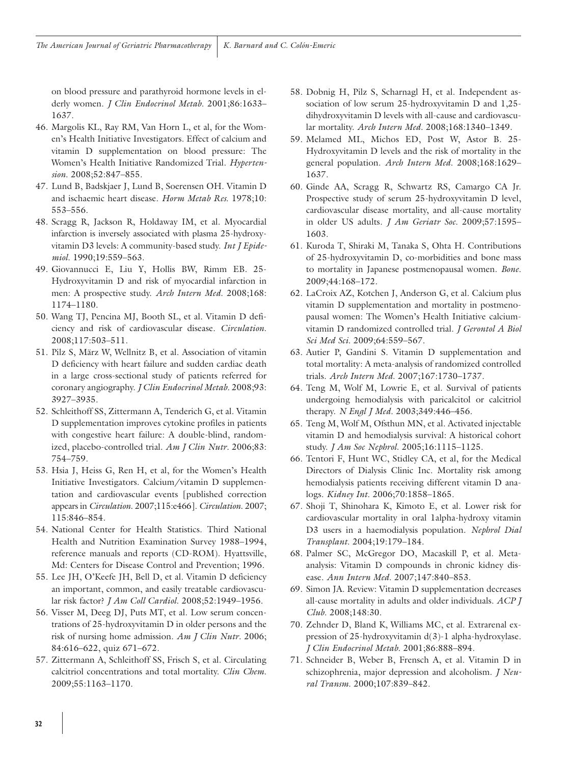on blood pressure and parathyroid hormone levels in elderly women. *J Clin Endocrinol Metab*. 2001;86:1633– 1637.

- 46. Margolis KL, Ray RM, Van Horn L, et al, for the Women's Health Initiative Investigators. Effect of calcium and vitamin D supplementation on blood pressure: The Women's Health Initiative Randomized Trial. *Hypertension*. 2008;52:847–855.
- 47. Lund B, Badskjaer J, Lund B, Soerensen OH. Vitamin D and ischaemic heart disease. *Horm Metab Res*. 1978;10: 553–556.
- 48. Scragg R, Jackson R, Holdaway IM, et al. Myocardial infarction is inversely associated with plasma 25-hydroxyvitamin D3 levels: A community-based study. *Int J Epidemiol*. 1990;19:559–563.
- 49. Giovannucci E, Liu Y, Hollis BW, Rimm EB. 25- Hydroxyvitamin D and risk of myocardial infarction in men: A prospective study. *Arch Intern Med*. 2008;168: 1174–1180.
- 50. Wang TJ, Pencina MJ, Booth SL, et al. Vitamin D deficiency and risk of cardiovascular disease. *Circulation*. 2008;117:503–511.
- 51. Pilz S, März W, Wellnitz B, et al. Association of vitamin D deficiency with heart failure and sudden cardiac death in a large cross-sectional study of patients referred for coronary angiography. *J Clin Endocrinol Metab*. 2008;93: 3927–3935.
- 52. Schleithoff SS, Zittermann A, Tenderich G, et al. Vitamin D supplementation improves cytokine profiles in patients with congestive heart failure: A double-blind, randomized, placebo-controlled trial. *Am J Clin Nutr*. 2006;83: 754–759.
- 53. Hsia J, Heiss G, Ren H, et al, for the Women's Health Initiative Investigators. Calcium/vitamin D supplementation and cardiovascular events [published correction appears in *Circulation*. 2007;115:e466]. *Circulation*. 2007; 115:846–854.
- 54. National Center for Health Statistics. Third National Health and Nutrition Examination Survey 1988–1994, reference manuals and reports (CD-ROM). Hyattsville, Md: Centers for Disease Control and Prevention; 1996.
- 55. Lee JH, O'Keefe JH, Bell D, et al. Vitamin D deficiency an important, common, and easily treatable cardiovascular risk factor? *J Am Coll Cardiol*. 2008;52:1949–1956.
- 56. Visser M, Deeg DJ, Puts MT, et al. Low serum concentrations of 25-hydroxyvitamin D in older persons and the risk of nursing home admission. *Am J Clin Nutr*. 2006; 84:616–622, quiz 671–672.
- 57. Zittermann A, Schleithoff SS, Frisch S, et al. Circulating calcitriol concentrations and total mortality. *Clin Chem*. 2009;55:1163–1170.
- 58. Dobnig H, Pilz S, Scharnagl H, et al. Independent association of low serum 25-hydroxyvitamin D and 1,25 dihydroxyvitamin D levels with all-cause and cardiovascular mortality. *Arch Intern Med*. 2008;168:1340–1349.
- 59. Melamed ML, Michos ED, Post W, Astor B. 25- Hydroxyvitamin D levels and the risk of mortality in the general population. *Arch Intern Med*. 2008;168:1629– 1637.
- 60. Ginde AA, Scragg R, Schwartz RS, Camargo CA Jr. Prospective study of serum 25-hydroxyvitamin D level, cardiovascular disease mortality, and all-cause mortality in older US adults. *J Am Geriatr Soc.* 2009;57:1595– 1603.
- 61. Kuroda T, Shiraki M, Tanaka S, Ohta H. Contributions of 25-hydroxyvitamin D, co-morbidities and bone mass to mortality in Japanese postmenopausal women. *Bone*. 2009;44:168–172.
- 62. LaCroix AZ, Kotchen J, Anderson G, et al. Calcium plus vitamin D supplementation and mortality in postmenopausal women: The Women's Health Initiative calciumvitamin D randomized controlled trial. *J Gerontol A Biol Sci Med Sci*. 2009;64:559–567.
- 63. Autier P, Gandini S. Vitamin D supplementation and total mortality: A meta-analysis of randomized controlled trials. *Arch Intern Med*. 2007;167:1730–1737.
- 64. Teng M, Wolf M, Lowrie E, et al. Survival of patients undergoing hemodialysis with paricalcitol or calcitriol therapy. *N Engl J Med*. 2003;349:446–456.
- 65. Teng M, Wolf M, Ofsthun MN, et al. Activated injectable vitamin D and hemodialysis survival: A historical cohort study. *J Am Soc Nephrol*. 2005;16:1115–1125.
- 66. Tentori F, Hunt WC, Stidley CA, et al, for the Medical Directors of Dialysis Clinic Inc. Mortality risk among hemodialysis patients receiving different vitamin D analogs. *Kidney Int*. 2006;70:1858–1865.
- 67. Shoji T, Shinohara K, Kimoto E, et al. Lower risk for cardiovascular mortality in oral 1alpha-hydroxy vitamin D3 users in a haemodialysis population. *Nephrol Dial Transplant*. 2004;19:179–184.
- 68. Palmer SC, McGregor DO, Macaskill P, et al. Metaanalysis: Vitamin D compounds in chronic kidney disease. *Ann Intern Med*. 2007;147:840–853.
- 69. Simon JA. Review: Vitamin D supplementation decreases all-cause mortality in adults and older individuals. *ACP J Club*. 2008;148:30.
- 70. Zehnder D, Bland K, Williams MC, et al. Extrarenal expression of 25-hydroxyvitamin d(3)-1 alpha-hydroxylase. *J Clin Endocrinol Metab*. 2001;86:888–894.
- 71. Schneider B, Weber B, Frensch A, et al. Vitamin D in schizophrenia, major depression and alcoholism. *J Neural Transm*. 2000;107:839–842.